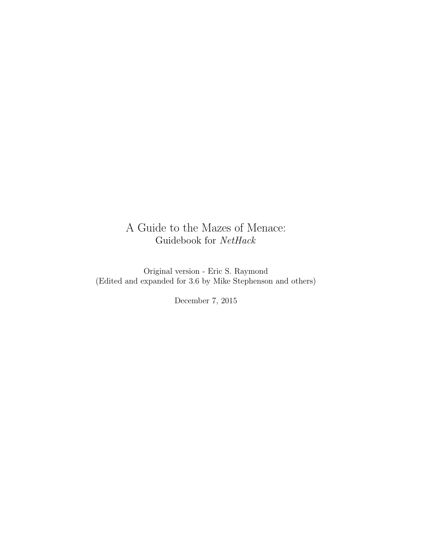# A Guide to the Mazes of Menace: Guidebook for NetHack

Original version - Eric S. Raymond (Edited and expanded for 3.6 by Mike Stephenson and others)

December 7, 2015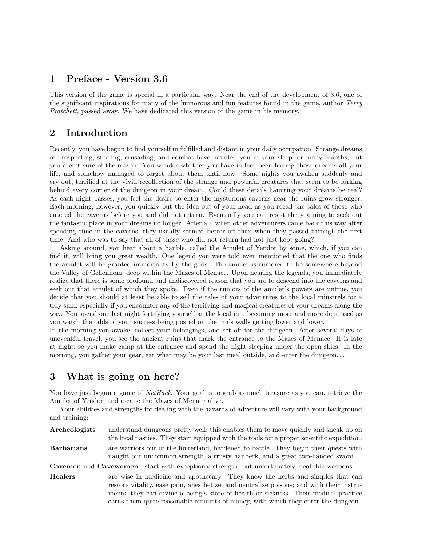## 1 Preface - Version 3.6

This version of the game is special in a particular way. Near the end of the development of 3.6, one of the significant inspirations for many of the humorous and fun features found in the game, author Terry Pratchett, passed away. We have dedicated this version of the game in his memory.

## 2 Introduction

Recently, you have begun to find yourself unfulfilled and distant in your daily occupation. Strange dreams of prospecting, stealing, crusading, and combat have haunted you in your sleep for many months, but you aren't sure of the reason. You wonder whether you have in fact been having those dreams all your life, and somehow managed to forget about them until now. Some nights you awaken suddenly and cry out, terrified at the vivid recollection of the strange and powerful creatures that seem to be lurking behind every corner of the dungeon in your dream. Could these details haunting your dreams be real? As each night passes, you feel the desire to enter the mysterious caverns near the ruins grow stronger. Each morning, however, you quickly put the idea out of your head as you recall the tales of those who entered the caverns before you and did not return. Eventually you can resist the yearning to seek out the fantastic place in your dreams no longer. After all, when other adventurers came back this way after spending time in the caverns, they usually seemed better off than when they passed through the first time. And who was to say that all of those who did not return had not just kept going?

Asking around, you hear about a bauble, called the Amulet of Yendor by some, which, if you can find it, will bring you great wealth. One legend you were told even mentioned that the one who finds the amulet will be granted immortality by the gods. The amulet is rumored to be somewhere beyond the Valley of Gehennom, deep within the Mazes of Menace. Upon hearing the legends, you immediately realize that there is some profound and undiscovered reason that you are to descend into the caverns and seek out that amulet of which they spoke. Even if the rumors of the amulet's powers are untrue, you decide that you should at least be able to sell the tales of your adventures to the local minstrels for a tidy sum, especially if you encounter any of the terrifying and magical creatures of your dreams along the way. You spend one last night fortifying yourself at the local inn, becoming more and more depressed as you watch the odds of your success being posted on the inn's walls getting lower and lower.

In the morning you awake, collect your belongings, and set off for the dungeon. After several days of uneventful travel, you see the ancient ruins that mark the entrance to the Mazes of Menace. It is late at night, so you make camp at the entrance and spend the night sleeping under the open skies. In the morning, you gather your gear, eat what may be your last meal outside, and enter the dungeon...

## 3 What is going on here?

You have just begun a game of *NetHack*. Your goal is to grab as much treasure as you can, retrieve the Amulet of Yendor, and escape the Mazes of Menace alive.

Your abilities and strengths for dealing with the hazards of adventure will vary with your background and training:

Archeologists understand dungeons pretty well; this enables them to move quickly and sneak up on the local nasties. They start equipped with the tools for a proper scientific expedition. Barbarians are warriors out of the hinterland, hardened to battle. They begin their quests with

naught but uncommon strength, a trusty hauberk, and a great two-handed sword. Cavemen and Cavewomen start with exceptional strength, but unfortunately, neolithic weapons.

Healers are wise in medicine and apothecary. They know the herbs and simples that can restore vitality, ease pain, anesthetize, and neutralize poisons; and with their instruments, they can divine a being's state of health or sickness. Their medical practice earns them quite reasonable amounts of money, with which they enter the dungeon.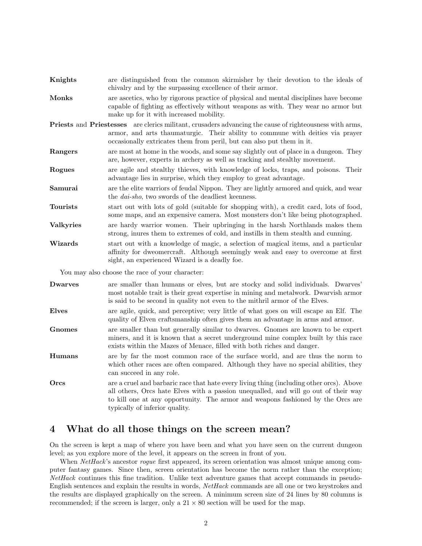| Knights                                         | are distinguished from the common skirmisher by their devotion to the ideals of<br>chivalry and by the surpassing excellence of their armor.                                                                                                                                     |
|-------------------------------------------------|----------------------------------------------------------------------------------------------------------------------------------------------------------------------------------------------------------------------------------------------------------------------------------|
| <b>Monks</b>                                    | are ascetics, who by rigorous practice of physical and mental disciplines have become<br>capable of fighting as effectively without weapons as with. They wear no armor but<br>make up for it with increased mobility.                                                           |
|                                                 | <b>Priests</b> and <b>Priestesses</b> are clerics militant, crusaders advancing the cause of righteousness with arms,<br>armor, and arts thaumaturgic. Their ability to commune with deities via prayer<br>occasionally extricates them from peril, but can also put them in it. |
| Rangers                                         | are most at home in the woods, and some say slightly out of place in a dungeon. They<br>are, however, experts in archery as well as tracking and stealthy movement.                                                                                                              |
| Rogues                                          | are agile and stealthy thieves, with knowledge of locks, traps, and poisons. Their<br>advantage lies in surprise, which they employ to great advantage.                                                                                                                          |
| Samurai                                         | are the elite warriors of feudal Nippon. They are lightly armored and quick, and wear<br>the <i>dai-sho</i> , two swords of the deadliest keenness.                                                                                                                              |
| <b>Tourists</b>                                 | start out with lots of gold (suitable for shopping with), a credit card, lots of food,<br>some maps, and an expensive camera. Most monsters don't like being photographed.                                                                                                       |
| <b>Valkyries</b>                                | are hardy warrior women. Their upbringing in the harsh Northlands makes them<br>strong, inures them to extremes of cold, and instills in them stealth and cunning.                                                                                                               |
| Wizards                                         | start out with a knowledge of magic, a selection of magical items, and a particular<br>affinity for dweomercraft. Although seemingly weak and easy to overcome at first<br>sight, an experienced Wizard is a deadly foe.                                                         |
| You may also choose the race of your character: |                                                                                                                                                                                                                                                                                  |

| ${\rm Dwarves}$ | are smaller than humans or elves, but are stocky and solid individuals. Dwarves'    |
|-----------------|-------------------------------------------------------------------------------------|
|                 | most notable trait is their great expertise in mining and metalwork. Dwarvish armor |
|                 | is said to be second in quality not even to the mithril armor of the Elves.         |

- Elves are agile, quick, and perceptive; very little of what goes on will escape an Elf. The quality of Elven craftsmanship often gives them an advantage in arms and armor.
- Gnomes are smaller than but generally similar to dwarves. Gnomes are known to be expert miners, and it is known that a secret underground mine complex built by this race exists within the Mazes of Menace, filled with both riches and danger.
- Humans are by far the most common race of the surface world, and are thus the norm to which other races are often compared. Although they have no special abilities, they can succeed in any role.
- Orcs are a cruel and barbaric race that hate every living thing (including other orcs). Above all others, Orcs hate Elves with a passion unequalled, and will go out of their way to kill one at any opportunity. The armor and weapons fashioned by the Orcs are typically of inferior quality.

## 4 What do all those things on the screen mean?

On the screen is kept a map of where you have been and what you have seen on the current dungeon level; as you explore more of the level, it appears on the screen in front of you.

When NetHack's ancestor rogue first appeared, its screen orientation was almost unique among computer fantasy games. Since then, screen orientation has become the norm rather than the exception; NetHack continues this fine tradition. Unlike text adventure games that accept commands in pseudo-English sentences and explain the results in words, NetHack commands are all one or two keystrokes and the results are displayed graphically on the screen. A minimum screen size of 24 lines by 80 columns is recommended; if the screen is larger, only a  $21 \times 80$  section will be used for the map.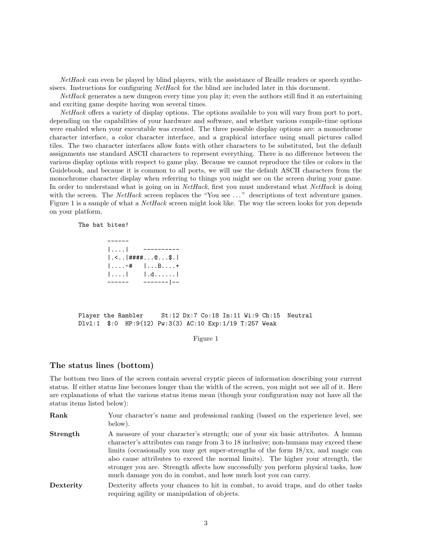NetHack can even be played by blind players, with the assistance of Braille readers or speech synthesisers. Instructions for configuring NetHack for the blind are included later in this document.

NetHack generates a new dungeon every time you play it; even the authors still find it an entertaining and exciting game despite having won several times.

NetHack offers a variety of display options. The options available to you will vary from port to port, depending on the capabilities of your hardware and software, and whether various compile-time options were enabled when your executable was created. The three possible display options are: a monochrome character interface, a color character interface, and a graphical interface using small pictures called tiles. The two character interfaces allow fonts with other characters to be substituted, but the default assignments use standard ASCII characters to represent everything. There is no difference between the various display options with respect to game play. Because we cannot reproduce the tiles or colors in the Guidebook, and because it is common to all ports, we will use the default ASCII characters from the monochrome character display when referring to things you might see on the screen during your game. In order to understand what is going on in NetHack, first you must understand what NetHack is doing with the screen. The NetHack screen replaces the "You see ..." descriptions of text adventure games. Figure 1 is a sample of what a NetHack screen might look like. The way the screen looks for you depends on your platform.

The bat bites!

| 1. 1                                                              |                       |
|-------------------------------------------------------------------|-----------------------|
| $  \cdot \leq   \cdot  $ #### $  \cdot   \cdot   \cdot   \cdot  $ |                       |
| $1. -#$                                                           | $1 \ldots B \ldots +$ |
| 1.1.1                                                             | $1.d. \ldots$ .       |
|                                                                   | --------   --         |

Player the Rambler St:12 Dx:7 Co:18 In:11 Wi:9 Ch:15 Neutral Dlvl:1 \$:0 HP:9(12) Pw:3(3) AC:10 Exp:1/19 T:257 Weak

#### Figure 1

### The status lines (bottom)

The bottom two lines of the screen contain several cryptic pieces of information describing your current status. If either status line becomes longer than the width of the screen, you might not see all of it. Here are explanations of what the various status items mean (though your configuration may not have all the status items listed below):

- Rank Your character's name and professional ranking (based on the experience level, see below). **Strength** A measure of your character's strength; one of your six basic attributes. A human character's attributes can range from 3 to 18 inclusive; non-humans may exceed these limits (occasionally you may get super-strengths of the form 18/xx, and magic can also cause attributes to exceed the normal limits). The higher your strength, the stronger you are. Strength affects how successfully you perform physical tasks, how much damage you do in combat, and how much loot you can carry. Dexterity Dexterity affects your chances to hit in combat, to avoid traps, and do other tasks
	- requiring agility or manipulation of objects.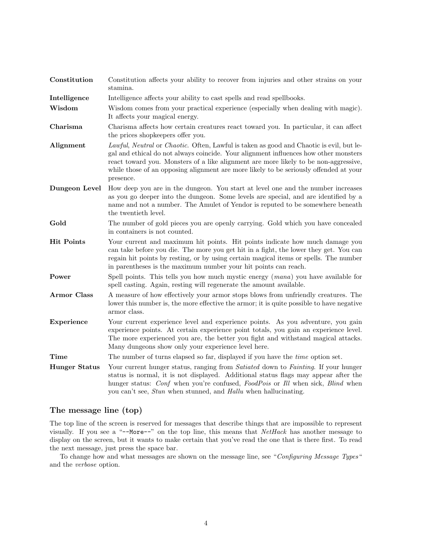| Constitution         | Constitution affects your ability to recover from injuries and other strains on your<br>stamina.                                                                                                                                                                                                                                                                              |  |
|----------------------|-------------------------------------------------------------------------------------------------------------------------------------------------------------------------------------------------------------------------------------------------------------------------------------------------------------------------------------------------------------------------------|--|
| Intelligence         | Intelligence affects your ability to cast spells and read spellbooks.                                                                                                                                                                                                                                                                                                         |  |
| Wisdom               | Wisdom comes from your practical experience (especially when dealing with magic).<br>It affects your magical energy.                                                                                                                                                                                                                                                          |  |
| Charisma             | Charisma affects how certain creatures react toward you. In particular, it can affect<br>the prices shopkeepers offer you.                                                                                                                                                                                                                                                    |  |
| Alignment            | Lawful, Neutral or Chaotic. Often, Lawful is taken as good and Chaotic is evil, but le-<br>gal and ethical do not always coincide. Your alignment influences how other monsters<br>react toward you. Monsters of a like alignment are more likely to be non-aggressive,<br>while those of an opposing alignment are more likely to be seriously offended at your<br>presence. |  |
| Dungeon Level        | How deep you are in the dungeon. You start at level one and the number increases<br>as you go deeper into the dungeon. Some levels are special, and are identified by a<br>name and not a number. The Amulet of Yendor is reputed to be somewhere beneath<br>the twentieth level.                                                                                             |  |
| Gold                 | The number of gold pieces you are openly carrying. Gold which you have concealed<br>in containers is not counted.                                                                                                                                                                                                                                                             |  |
| <b>Hit Points</b>    | Your current and maximum hit points. Hit points indicate how much damage you<br>can take before you die. The more you get hit in a fight, the lower they get. You can<br>regain hit points by resting, or by using certain magical items or spells. The number<br>in parentheses is the maximum number your hit points can reach.                                             |  |
| Power                | Spell points. This tells you how much mystic energy (mana) you have available for<br>spell casting. Again, resting will regenerate the amount available.                                                                                                                                                                                                                      |  |
| <b>Armor Class</b>   | A measure of how effectively your armor stops blows from unfriendly creatures. The<br>lower this number is, the more effective the armor; it is quite possible to have negative<br>armor class.                                                                                                                                                                               |  |
| Experience           | Your current experience level and experience points. As you adventure, you gain<br>experience points. At certain experience point totals, you gain an experience level.<br>The more experienced you are, the better you fight and withstand magical attacks.<br>Many dungeons show only your experience level here.                                                           |  |
| Time                 | The number of turns elapsed so far, displayed if you have the <i>time</i> option set.                                                                                                                                                                                                                                                                                         |  |
| <b>Hunger Status</b> | Your current hunger status, ranging from Satiated down to Fainting. If your hunger<br>status is normal, it is not displayed. Additional status flags may appear after the<br>hunger status: Conf when you're confused, FoodPois or Ill when sick, Blind when<br>you can't see, <i>Stun</i> when stunned, and <i>Hallu</i> when hallucinating.                                 |  |

## The message line (top)

The top line of the screen is reserved for messages that describe things that are impossible to represent visually. If you see a "--More--" on the top line, this means that NetHack has another message to display on the screen, but it wants to make certain that you've read the one that is there first. To read the next message, just press the space bar.

To change how and what messages are shown on the message line, see "Configuring Message Types" and the verbose option.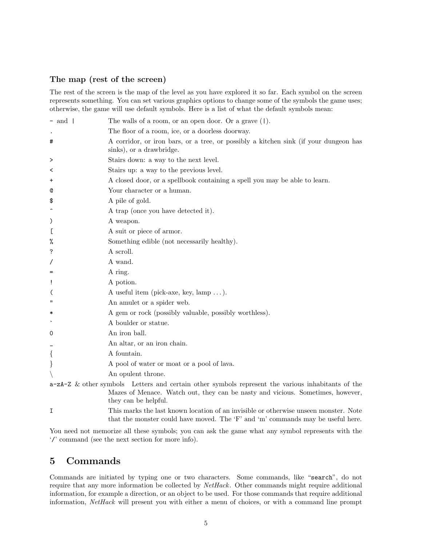### The map (rest of the screen)

The rest of the screen is the map of the level as you have explored it so far. Each symbol on the screen represents something. You can set various graphics options to change some of the symbols the game uses; otherwise, the game will use default symbols. Here is a list of what the default symbols mean:

| $-$ and $\vert$          | The walls of a room, or an open door. Or a grave $(1)$ .                                                                                                                                                      |
|--------------------------|---------------------------------------------------------------------------------------------------------------------------------------------------------------------------------------------------------------|
|                          | The floor of a room, ice, or a doorless doorway.                                                                                                                                                              |
| #                        | A corridor, or iron bars, or a tree, or possibly a kitchen sink (if your dungeon has<br>sinks), or a drawbridge.                                                                                              |
| >                        | Stairs down: a way to the next level.                                                                                                                                                                         |
| ≺                        | Stairs up: a way to the previous level.                                                                                                                                                                       |
| +                        | A closed door, or a spellbook containing a spell you may be able to learn.                                                                                                                                    |
| Q                        | Your character or a human.                                                                                                                                                                                    |
| \$                       | A pile of gold.                                                                                                                                                                                               |
|                          | A trap (once you have detected it).                                                                                                                                                                           |
| $\mathcal{C}$            | A weapon.                                                                                                                                                                                                     |
| L                        | A suit or piece of armor.                                                                                                                                                                                     |
| %                        | Something edible (not necessarily healthy).                                                                                                                                                                   |
| ?                        | A scroll.                                                                                                                                                                                                     |
| Τ                        | A wand.                                                                                                                                                                                                       |
| $=$                      | A ring.                                                                                                                                                                                                       |
| Ţ                        | A potion.                                                                                                                                                                                                     |
| $\overline{\mathcal{L}}$ | A useful item (pick-axe, key, $\text{lamp} \dots$ ).                                                                                                                                                          |
| $\mathbf{H}$             | An amulet or a spider web.                                                                                                                                                                                    |
| ∗                        | A gem or rock (possibly valuable, possibly worthless).                                                                                                                                                        |
|                          | A boulder or statue.                                                                                                                                                                                          |
| 0                        | An iron ball.                                                                                                                                                                                                 |
|                          | An altar, or an iron chain.                                                                                                                                                                                   |
| $\{$                     | A fountain.                                                                                                                                                                                                   |
| $\}$                     | A pool of water or moat or a pool of lava.                                                                                                                                                                    |
|                          | An opulent throne.                                                                                                                                                                                            |
|                          | $a-zA-Z$ & other symbols Letters and certain other symbols represent the various inhabitants of the<br>Mazes of Menace. Watch out, they can be nasty and vicious. Sometimes, however,<br>they can be helpful. |
| I                        | This marks the last known location of an invisible or otherwise unseen monster. Note<br>that the monster could have moved. The 'F' and 'm' commands may be useful here.                                       |

You need not memorize all these symbols; you can ask the game what any symbol represents with the '/' command (see the next section for more info).

## 5 Commands

Commands are initiated by typing one or two characters. Some commands, like "search", do not require that any more information be collected by NetHack. Other commands might require additional information, for example a direction, or an object to be used. For those commands that require additional information, NetHack will present you with either a menu of choices, or with a command line prompt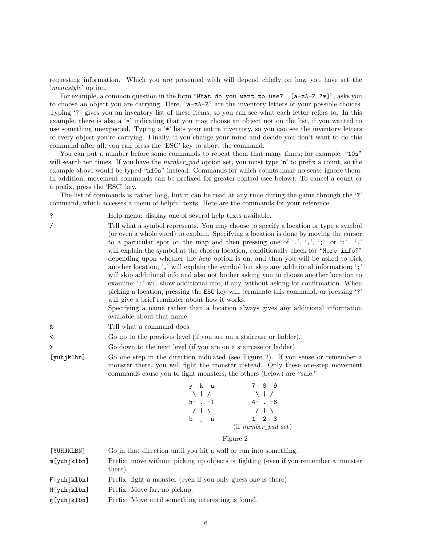requesting information. Which you are presented with will depend chiefly on how you have set the 'menustyle' option.

For example, a common question in the form "What do you want to use?  $[a-zA-Z$  ?\*]", asks you to choose an object you are carrying. Here, "a-zA-Z" are the inventory letters of your possible choices. Typing '?' gives you an inventory list of these items, so you can see what each letter refers to. In this example, there is also a '\*' indicating that you may choose an object not on the list, if you wanted to use something unexpected. Typing a '\*' lists your entire inventory, so you can see the inventory letters of every object you're carrying. Finally, if you change your mind and decide you don't want to do this command after all, you can press the 'ESC' key to abort the command.

You can put a number before some commands to repeat them that many times; for example, "10s" will search ten times. If you have the *number\_pad* option set, you must type 'n' to prefix a count, so the example above would be typed "n10s" instead. Commands for which counts make no sense ignore them. In addition, movement commands can be prefixed for greater control (see below). To cancel a count or a prefix, press the 'ESC' key.

The list of commands is rather long, but it can be read at any time during the game through the '?' command, which accesses a menu of helpful texts. Here are the commands for your reference:

? Help menu: display one of several help texts available.

/ Tell what a symbol represents. You may choose to specify a location or type a symbol (or even a whole word) to explain. Specifying a location is done by moving the cursor to a particular spot on the map and then pressing one of '.', ',', ';', or ':'. '.' will explain the symbol at the chosen location, conditionally check for "More info?" depending upon whether the help option is on, and then you will be asked to pick another location; ',' will explain the symbol but skip any additional information; ';' will skip additional info and also not bother asking you to choose another location to examine; ':' will show additional info, if any, without asking for confirmation. When picking a location, pressing the ESC key will terminate this command, or pressing '?' will give a brief reminder about how it works.

> Specifying a name rather than a location always gives any additional information available about that name.

- & Tell what a command does.
- < Go up to the previous level (if you are on a staircase or ladder).
- > Go down to the next level (if you are on a staircase or ladder).
- [yuhjklbn] Go one step in the direction indicated (see Figure 2). If you sense or remember a monster there, you will fight the monster instead. Only these one-step movement commands cause you to fight monsters; the others (below) are "safe."

| y k u           | 7 8 9                   |
|-----------------|-------------------------|
| $\setminus$   / | $\setminus$ 1 /         |
| $h- . -1$       | $4- -6$                 |
| /   \           | /   \                   |
| b j n           | $1 \t2 \t3$             |
|                 | $(if\ number\_pad$ set) |

#### Figure 2

| [YUHJKLBN]  | Go in that direction until you hit a wall or run into something.                              |
|-------------|-----------------------------------------------------------------------------------------------|
| m[yuhjklbn] | Prefix: move without picking up objects or fighting (even if you remember a monster<br>there) |
| F[yuhjklbn] | Prefix: fight a monster (even if you only guess one is there)                                 |
| M[yuhjklbn] | Prefix: Move far, no pickup.                                                                  |
| g[yuhjklbn] | Prefix: Move until something interesting is found.                                            |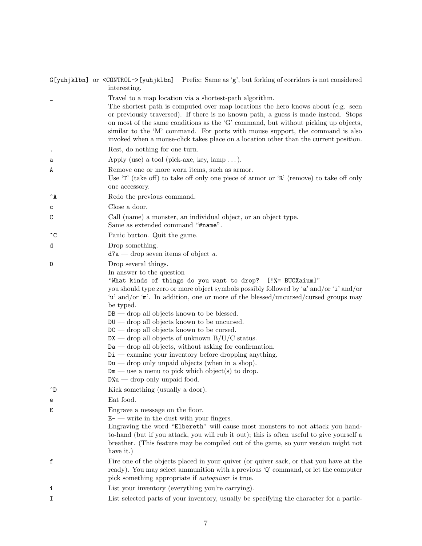|            | $G[yuhjklbn]$ or $\leq$ CONTROL $\geq$ [yuhjk1bn] Prefix: Same as 'g', but forking of corridors is not considered<br>interesting.                                                                                                                                                                                                                                                                                                                                                                                                                                                                                                                                                                                                                                                                   |
|------------|-----------------------------------------------------------------------------------------------------------------------------------------------------------------------------------------------------------------------------------------------------------------------------------------------------------------------------------------------------------------------------------------------------------------------------------------------------------------------------------------------------------------------------------------------------------------------------------------------------------------------------------------------------------------------------------------------------------------------------------------------------------------------------------------------------|
|            | Travel to a map location via a shortest-path algorithm.<br>The shortest path is computed over map locations the hero knows about (e.g. seen<br>or previously traversed). If there is no known path, a guess is made instead. Stops<br>on most of the same conditions as the 'G' command, but without picking up objects,<br>similar to the 'M' command. For ports with mouse support, the command is also<br>invoked when a mouse-click takes place on a location other than the current position.                                                                                                                                                                                                                                                                                                  |
|            | Rest, do nothing for one turn.                                                                                                                                                                                                                                                                                                                                                                                                                                                                                                                                                                                                                                                                                                                                                                      |
| a          | Apply (use) a tool (pick-axe, key, lamp ).                                                                                                                                                                                                                                                                                                                                                                                                                                                                                                                                                                                                                                                                                                                                                          |
| A          | Remove one or more worn items, such as armor.<br>Use $T'$ (take off) to take off only one piece of armor or $R'$ (remove) to take off only<br>one accessory.                                                                                                                                                                                                                                                                                                                                                                                                                                                                                                                                                                                                                                        |
| $\hat{}$ A | Redo the previous command.                                                                                                                                                                                                                                                                                                                                                                                                                                                                                                                                                                                                                                                                                                                                                                          |
| с          | Close a door.                                                                                                                                                                                                                                                                                                                                                                                                                                                                                                                                                                                                                                                                                                                                                                                       |
| C          | Call (name) a monster, an individual object, or an object type.<br>Same as extended command "#name".                                                                                                                                                                                                                                                                                                                                                                                                                                                                                                                                                                                                                                                                                                |
| $\hat{C}$  | Panic button. Quit the game.                                                                                                                                                                                                                                                                                                                                                                                                                                                                                                                                                                                                                                                                                                                                                                        |
| d          | Drop something.<br>$d7a$ – drop seven items of object a.                                                                                                                                                                                                                                                                                                                                                                                                                                                                                                                                                                                                                                                                                                                                            |
| D          | Drop several things.<br>In answer to the question<br>"What kinds of things do you want to drop? [!%= BUCXaium]"<br>you should type zero or more object symbols possibly followed by 'a' and/or 'i' and/or<br>'u' and/or 'm'. In addition, one or more of the blessed/uncursed/cursed groups may<br>be typed.<br>$DB$ — drop all objects known to be blessed.<br>$\texttt{DU}$ — drop all objects known to be uncursed.<br>$DC$ — drop all objects known to be cursed.<br>$DX$ — drop all objects of unknown $B/U/C$ status.<br>$Da$ — drop all objects, without asking for confirmation.<br>$Di$ — examine your inventory before dropping anything.<br>$Du$ — drop only unpaid objects (when in a shop).<br>$Dm$ — use a menu to pick which object(s) to drop.<br>$D''_0u$ — drop only unpaid food. |
| $\hat{D}$  | Kick something (usually a door).                                                                                                                                                                                                                                                                                                                                                                                                                                                                                                                                                                                                                                                                                                                                                                    |
| e          | Eat food.                                                                                                                                                                                                                                                                                                                                                                                                                                                                                                                                                                                                                                                                                                                                                                                           |
| Ε          | Engrave a message on the floor.<br>$E$ - write in the dust with your fingers.<br>Engraving the word "Elbereth" will cause most monsters to not attack you hand-<br>to-hand (but if you attack, you will rub it out); this is often useful to give yourself a<br>breather. (This feature may be compiled out of the game, so your version might not<br>have it.)                                                                                                                                                                                                                                                                                                                                                                                                                                     |
| f          | Fire one of the objects placed in your quiver (or quiver sack, or that you have at the<br>ready). You may select ammunition with a previous 'Q' command, or let the computer<br>pick something appropriate if <i>autoquiver</i> is true.                                                                                                                                                                                                                                                                                                                                                                                                                                                                                                                                                            |
| i          | List your inventory (everything you're carrying).                                                                                                                                                                                                                                                                                                                                                                                                                                                                                                                                                                                                                                                                                                                                                   |
|            |                                                                                                                                                                                                                                                                                                                                                                                                                                                                                                                                                                                                                                                                                                                                                                                                     |

I List selected parts of your inventory, usually be specifying the character for a partic-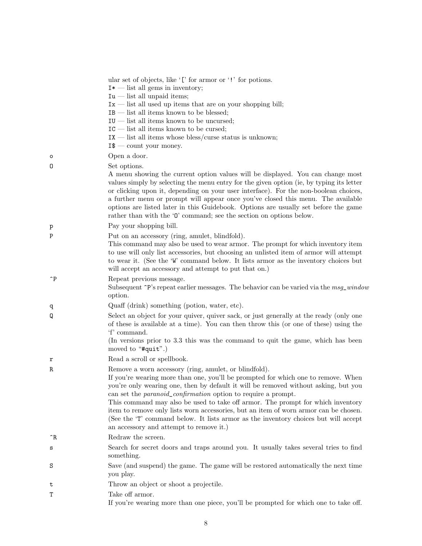|              | ular set of objects, like '[' for armor or '!' for potions.<br>$I^*$ — list all gems in inventory;<br>$Iu$ — list all unpaid items;<br>$Ix$ — list all used up items that are on your shopping bill;<br>$IB$ — list all items known to be blessed;<br>$IU$ — list all items known to be uncursed;<br>$IC$ — list all items known to be cursed;<br>$IX$ — list all items whose bless/curse status is unknown;<br>$I$ \$ — count your money.                                                                                                                                                                             |
|--------------|------------------------------------------------------------------------------------------------------------------------------------------------------------------------------------------------------------------------------------------------------------------------------------------------------------------------------------------------------------------------------------------------------------------------------------------------------------------------------------------------------------------------------------------------------------------------------------------------------------------------|
| $\circ$      | Open a door.                                                                                                                                                                                                                                                                                                                                                                                                                                                                                                                                                                                                           |
| 0            | Set options.<br>A menu showing the current option values will be displayed. You can change most<br>values simply by selecting the menu entry for the given option (ie, by typing its letter<br>or clicking upon it, depending on your user interface). For the non-boolean choices,<br>a further menu or prompt will appear once you've closed this menu. The available<br>options are listed later in this Guidebook. Options are usually set before the game<br>rather than with the $\mathcal O'$ command; see the section on options below.                                                                        |
| p            | Pay your shopping bill.                                                                                                                                                                                                                                                                                                                                                                                                                                                                                                                                                                                                |
| P            | Put on an accessory (ring, amulet, blindfold).<br>This command may also be used to wear armor. The prompt for which inventory item<br>to use will only list accessories, but choosing an unlisted item of armor will attempt<br>to wear it. (See the 'W' command below. It lists armor as the inventory choices but<br>will accept an accessory and attempt to put that on.)                                                                                                                                                                                                                                           |
| $\mathsf{P}$ | Repeat previous message.<br>Subsequent ~P's repeat earlier messages. The behavior can be varied via the msg_window<br>option.                                                                                                                                                                                                                                                                                                                                                                                                                                                                                          |
| q            | Quaff (drink) something (potion, water, etc).                                                                                                                                                                                                                                                                                                                                                                                                                                                                                                                                                                          |
| Q            | Select an object for your quiver, quiver sack, or just generally at the ready (only one<br>of these is available at a time). You can then throw this (or one of these) using the<br>'f' command.<br>(In versions prior to 3.3 this was the command to quit the game, which has been<br>moved to " $#quit$ ".)                                                                                                                                                                                                                                                                                                          |
| r            | Read a scroll or spellbook.                                                                                                                                                                                                                                                                                                                                                                                                                                                                                                                                                                                            |
| R            | Remove a worn accessory (ring, amulet, or blindfold).<br>If you're wearing more than one, you'll be prompted for which one to remove. When<br>you're only wearing one, then by default it will be removed without asking, but you<br>can set the <i>paranoid_confirmation</i> option to require a prompt.<br>This command may also be used to take off armor. The prompt for which inventory<br>item to remove only lists worn accessories, but an item of worn armor can be chosen.<br>(See the 'T' command below. It lists armor as the inventory choices but will accept<br>an accessory and attempt to remove it.) |
| ^R           | Redraw the screen.                                                                                                                                                                                                                                                                                                                                                                                                                                                                                                                                                                                                     |
| s            | Search for secret doors and traps around you. It usually takes several tries to find<br>something.                                                                                                                                                                                                                                                                                                                                                                                                                                                                                                                     |
| S            | Save (and suspend) the game. The game will be restored automatically the next time<br>you play.                                                                                                                                                                                                                                                                                                                                                                                                                                                                                                                        |
| t            | Throw an object or shoot a projectile.                                                                                                                                                                                                                                                                                                                                                                                                                                                                                                                                                                                 |
| T            | Take off armor.<br>If you're wearing more than one piece, you'll be prompted for which one to take off.                                                                                                                                                                                                                                                                                                                                                                                                                                                                                                                |
|              |                                                                                                                                                                                                                                                                                                                                                                                                                                                                                                                                                                                                                        |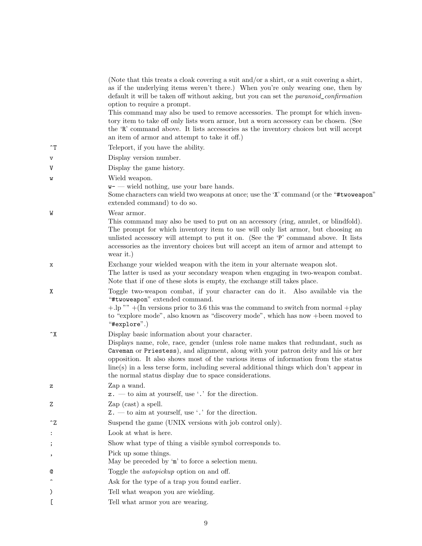|                       | (Note that this treats a cloak covering a suit and/or a shirt, or a suit covering a shirt,<br>as if the underlying items weren't there.) When you're only wearing one, then by<br>default it will be taken off without asking, but you can set the <i>paranoid_confirmation</i><br>option to require a prompt.<br>This command may also be used to remove accessories. The prompt for which inven-<br>tory item to take off only lists worn armor, but a worn accessory can be chosen. (See<br>the 'R' command above. It lists accessories as the inventory choices but will accept<br>an item of armor and attempt to take it off.) |
|-----------------------|--------------------------------------------------------------------------------------------------------------------------------------------------------------------------------------------------------------------------------------------------------------------------------------------------------------------------------------------------------------------------------------------------------------------------------------------------------------------------------------------------------------------------------------------------------------------------------------------------------------------------------------|
| $\mathcal{T}$         | Teleport, if you have the ability.                                                                                                                                                                                                                                                                                                                                                                                                                                                                                                                                                                                                   |
| v                     | Display version number.                                                                                                                                                                                                                                                                                                                                                                                                                                                                                                                                                                                                              |
| V                     | Display the game history.                                                                                                                                                                                                                                                                                                                                                                                                                                                                                                                                                                                                            |
| W                     | Wield weapon.<br>$w$ - wield nothing, use your bare hands.<br>Some characters can wield two weapons at once; use the 'X' command (or the "#twoweapon"<br>extended command) to do so.                                                                                                                                                                                                                                                                                                                                                                                                                                                 |
| W                     | Wear armor.<br>This command may also be used to put on an accessory (ring, amulet, or blindfold).<br>The prompt for which inventory item to use will only list armor, but choosing an<br>unlisted accessory will attempt to put it on. (See the 'P' command above. It lists<br>accessories as the inventory choices but will accept an item of armor and attempt to<br>wear it.)                                                                                                                                                                                                                                                     |
| х                     | Exchange your wielded weapon with the item in your alternate weapon slot.<br>The latter is used as your secondary weapon when engaging in two-weapon combat.<br>Note that if one of these slots is empty, the exchange still takes place.                                                                                                                                                                                                                                                                                                                                                                                            |
| Χ                     | Toggle two-weapon combat, if your character can do it. Also available via the<br>"#twoweapon" extended command.<br>$+$ .lp"" $+$ (In versions prior to 3.6 this was the command to switch from normal $+$ play<br>to "explore mode", also known as "discovery mode", which has now +been moved to<br>"#explore".)                                                                                                                                                                                                                                                                                                                    |
| $\mathbf{X}$          | Display basic information about your character.<br>Displays name, role, race, gender (unless role name makes that redundant, such as<br>Caveman or Priestess), and alignment, along with your patron deity and his or her<br>opposition. It also shows most of the various items of information from the status<br>line(s) in a less terse form, including several additional things which don't appear in<br>the normal status display due to space considerations.                                                                                                                                                                 |
| z                     | Zap a wand.<br>$z.$ — to aim at yourself, use '.' for the direction.                                                                                                                                                                                                                                                                                                                                                                                                                                                                                                                                                                 |
| Ζ                     | Zap $(cast)$ a spell.<br>$Z.$ — to aim at yourself, use '.' for the direction.                                                                                                                                                                                                                                                                                                                                                                                                                                                                                                                                                       |
| $\mathbin{\char`\^}Z$ | Suspend the game (UNIX versions with job control only).                                                                                                                                                                                                                                                                                                                                                                                                                                                                                                                                                                              |
| :                     | Look at what is here.                                                                                                                                                                                                                                                                                                                                                                                                                                                                                                                                                                                                                |
| ;                     | Show what type of thing a visible symbol corresponds to.                                                                                                                                                                                                                                                                                                                                                                                                                                                                                                                                                                             |
| ,                     | Pick up some things.<br>May be preceded by 'm' to force a selection menu.                                                                                                                                                                                                                                                                                                                                                                                                                                                                                                                                                            |
| Q                     | Toggle the <i>autopickup</i> option on and off.                                                                                                                                                                                                                                                                                                                                                                                                                                                                                                                                                                                      |
|                       | Ask for the type of a trap you found earlier.                                                                                                                                                                                                                                                                                                                                                                                                                                                                                                                                                                                        |
| $\mathcal{C}$         | Tell what weapon you are wielding.                                                                                                                                                                                                                                                                                                                                                                                                                                                                                                                                                                                                   |
|                       | Tell what armor you are wearing.                                                                                                                                                                                                                                                                                                                                                                                                                                                                                                                                                                                                     |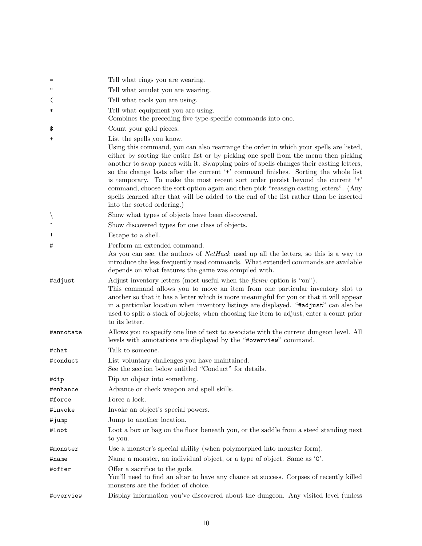| $=$                      | Tell what rings you are wearing.                                                                                                                                                                                                                                                                                                                                                                                                                                                                                                                                                                                                                                                               |
|--------------------------|------------------------------------------------------------------------------------------------------------------------------------------------------------------------------------------------------------------------------------------------------------------------------------------------------------------------------------------------------------------------------------------------------------------------------------------------------------------------------------------------------------------------------------------------------------------------------------------------------------------------------------------------------------------------------------------------|
| $\mathbf{H}$             | Tell what a mulet you are wearing.                                                                                                                                                                                                                                                                                                                                                                                                                                                                                                                                                                                                                                                             |
| $\overline{\mathcal{L}}$ | Tell what tools you are using.                                                                                                                                                                                                                                                                                                                                                                                                                                                                                                                                                                                                                                                                 |
| ∗                        | Tell what equipment you are using.                                                                                                                                                                                                                                                                                                                                                                                                                                                                                                                                                                                                                                                             |
|                          | Combines the preceding five type-specific commands into one.                                                                                                                                                                                                                                                                                                                                                                                                                                                                                                                                                                                                                                   |
| \$                       | Count your gold pieces.                                                                                                                                                                                                                                                                                                                                                                                                                                                                                                                                                                                                                                                                        |
| $\ddot{}$                | List the spells you know.<br>Using this command, you can also rearrange the order in which your spells are listed,<br>either by sorting the entire list or by picking one spell from the menu then picking<br>another to swap places with it. Swapping pairs of spells changes their casting letters,<br>so the change lasts after the current '+' command finishes. Sorting the whole list<br>is temporary. To make the most recent sort order persist beyond the current '+'<br>command, choose the sort option again and then pick "reassign casting letters". (Any<br>spells learned after that will be added to the end of the list rather than be inserted<br>into the sorted ordering.) |
|                          | Show what types of objects have been discovered.                                                                                                                                                                                                                                                                                                                                                                                                                                                                                                                                                                                                                                               |
|                          | Show discovered types for one class of objects.                                                                                                                                                                                                                                                                                                                                                                                                                                                                                                                                                                                                                                                |
| Ţ                        | Escape to a shell.                                                                                                                                                                                                                                                                                                                                                                                                                                                                                                                                                                                                                                                                             |
| #                        | Perform an extended command.<br>As you can see, the authors of <i>NetHack</i> used up all the letters, so this is a way to<br>introduce the less frequently used commands. What extended commands are available<br>depends on what features the game was compiled with.                                                                                                                                                                                                                                                                                                                                                                                                                        |
| #adjust                  | Adjust inventory letters (most useful when the <i>fixinv</i> option is "on").<br>This command allows you to move an item from one particular inventory slot to<br>another so that it has a letter which is more meaningful for you or that it will appear<br>in a particular location when inventory listings are displayed. "#adjust" can also be<br>used to split a stack of objects; when choosing the item to adjust, enter a count prior<br>to its letter.                                                                                                                                                                                                                                |
| #annotate                | Allows you to specify one line of text to associate with the current dungeon level. All<br>levels with annotations are displayed by the "#overview" command.                                                                                                                                                                                                                                                                                                                                                                                                                                                                                                                                   |
| #chat                    | Talk to someone.                                                                                                                                                                                                                                                                                                                                                                                                                                                                                                                                                                                                                                                                               |
| #conduct                 | List voluntary challenges you have maintained.<br>See the section below entitled "Conduct" for details.                                                                                                                                                                                                                                                                                                                                                                                                                                                                                                                                                                                        |
| #dip                     | Dip an object into something.                                                                                                                                                                                                                                                                                                                                                                                                                                                                                                                                                                                                                                                                  |
| #enhance                 | Advance or check weapon and spell skills.                                                                                                                                                                                                                                                                                                                                                                                                                                                                                                                                                                                                                                                      |
| #force                   | Force a lock.                                                                                                                                                                                                                                                                                                                                                                                                                                                                                                                                                                                                                                                                                  |
| #invoke                  | Invoke an object's special powers.                                                                                                                                                                                                                                                                                                                                                                                                                                                                                                                                                                                                                                                             |
| #jump                    | Jump to another location.                                                                                                                                                                                                                                                                                                                                                                                                                                                                                                                                                                                                                                                                      |
| #loot                    | Loot a box or bag on the floor beneath you, or the saddle from a steed standing next<br>to you.                                                                                                                                                                                                                                                                                                                                                                                                                                                                                                                                                                                                |
| #monster                 | Use a monster's special ability (when polymorphed into monster form).                                                                                                                                                                                                                                                                                                                                                                                                                                                                                                                                                                                                                          |
| #name                    | Name a monster, an individual object, or a type of object. Same as 'C'.                                                                                                                                                                                                                                                                                                                                                                                                                                                                                                                                                                                                                        |
| #offer                   | Offer a sacrifice to the gods.<br>You'll need to find an altar to have any chance at success. Corpses of recently killed<br>monsters are the fodder of choice.                                                                                                                                                                                                                                                                                                                                                                                                                                                                                                                                 |
| #overview                | Display information you've discovered about the dungeon. Any visited level (unless                                                                                                                                                                                                                                                                                                                                                                                                                                                                                                                                                                                                             |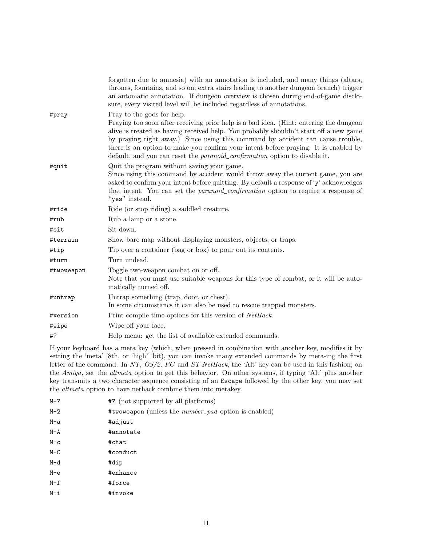|            | forgotten due to amnesia) with an annotation is included, and many things (altars,<br>thrones, fountains, and so on; extra stairs leading to another dungeon branch) trigger<br>an automatic annotation. If dungeon overview is chosen during end-of-game disclo-<br>sure, every visited level will be included regardless of annotations.                                                                                                                                   |
|------------|------------------------------------------------------------------------------------------------------------------------------------------------------------------------------------------------------------------------------------------------------------------------------------------------------------------------------------------------------------------------------------------------------------------------------------------------------------------------------|
| #pray      | Pray to the gods for help.<br>Praying too soon after receiving prior help is a bad idea. (Hint: entering the dungeon<br>alive is treated as having received help. You probably shouldn't start off a new game<br>by praying right away.) Since using this command by accident can cause trouble,<br>there is an option to make you confirm your intent before praying. It is enabled by<br>default, and you can reset the <i>paranoid_confirmation</i> option to disable it. |
| #quit      | Quit the program without saving your game.<br>Since using this command by accident would throw away the current game, you are<br>asked to confirm your intent before quitting. By default a response of 'y' acknowledges<br>that intent. You can set the <i>paranoid_confirmation</i> option to require a response of<br>"yes" instead.                                                                                                                                      |
| #ride      | Ride (or stop riding) a saddled creature.                                                                                                                                                                                                                                                                                                                                                                                                                                    |
| #rub       | Rub a lamp or a stone.                                                                                                                                                                                                                                                                                                                                                                                                                                                       |
| #sit       | Sit down.                                                                                                                                                                                                                                                                                                                                                                                                                                                                    |
| #terrain   | Show bare map without displaying monsters, objects, or traps.                                                                                                                                                                                                                                                                                                                                                                                                                |
| #tip       | Tip over a container (bag or box) to pour out its contents.                                                                                                                                                                                                                                                                                                                                                                                                                  |
| #turn      | Turn undead.                                                                                                                                                                                                                                                                                                                                                                                                                                                                 |
| #twoweapon | Toggle two-weapon combat on or off.<br>Note that you must use suitable weapons for this type of combat, or it will be auto-<br>matically turned off.                                                                                                                                                                                                                                                                                                                         |
| #untrap    | Untrap something (trap, door, or chest).<br>In some circumstancs it can also be used to rescue trapped monsters.                                                                                                                                                                                                                                                                                                                                                             |
| #version   | Print compile time options for this version of <i>NetHack</i> .                                                                                                                                                                                                                                                                                                                                                                                                              |
| #wipe      | Wipe off your face.                                                                                                                                                                                                                                                                                                                                                                                                                                                          |
| #?         | Help menu: get the list of available extended commands.                                                                                                                                                                                                                                                                                                                                                                                                                      |

If your keyboard has a meta key (which, when pressed in combination with another key, modifies it by setting the 'meta' [8th, or 'high'] bit), you can invoke many extended commands by meta-ing the first letter of the command. In NT, OS/2, PC and ST NetHack, the 'Alt' key can be used in this fashion; on the Amiga, set the altmeta option to get this behavior. On other systems, if typing 'Alt' plus another key transmits a two character sequence consisting of an Escape followed by the other key, you may set the altmeta option to have nethack combine them into metakey.

| $M-?$   | #? (not supported by all platforms)                         |
|---------|-------------------------------------------------------------|
| $M-2$   | #twoweapon (unless the <i>number_pad</i> option is enabled) |
| M-a     | #adjust                                                     |
| $M - A$ | #annotate                                                   |
| $M-c$   | #chat                                                       |
| $M-C$   | #conduct                                                    |
| M-d     | #dip                                                        |
| $M-e$   | $#$ enhance                                                 |
| $M-f$   | #force                                                      |
| M-i     | #invoke                                                     |
|         |                                                             |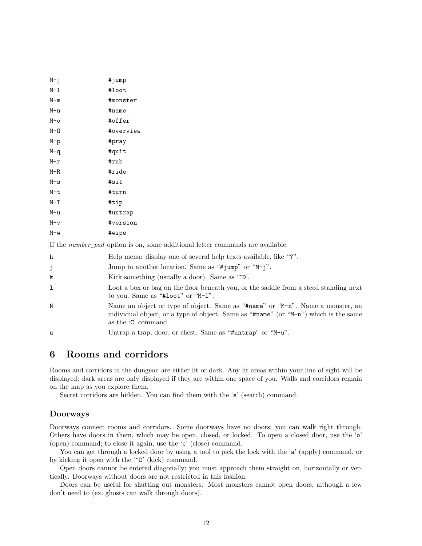| M-j   | #jump     |
|-------|-----------|
| M-l   | #loot     |
| M-m   | #monster  |
| M-n   | #name     |
| M-o   | #offer    |
| М-О   | #overview |
| M-p   | #pray     |
| M-q   | #quit     |
| M-r   | #rub      |
| M-R   | #ride     |
| M-s   | #sit      |
| M-t   | #turn     |
| $M-T$ | #tip      |
| M-u   | #untrap   |
| M-v   | #version  |
| M-w   | #wipe     |

If the number\_pad option is on, some additional letter commands are available:

| h            | Help menu: display one of several help texts available, like "?".                                                                                                                             |
|--------------|-----------------------------------------------------------------------------------------------------------------------------------------------------------------------------------------------|
| j            | Jump to another location. Same as "#jump" or " $M-j$ ".                                                                                                                                       |
| k            | Kick something (usually a door). Same as $\infty$ .                                                                                                                                           |
| $\mathbf{1}$ | Loot a box or bag on the floor beneath you, or the saddle from a steed standing next<br>to you. Same as "#loot" or "M-1".                                                                     |
| N            | Name an object or type of object. Same as "#name" or "M-n". Name a monster, an<br>individual object, or a type of object. Same as "#name" (or "M-n") which is the same<br>as the 'C' command. |
| u            | Untrap a trap, door, or chest. Same as "#untrap" or "M-u".                                                                                                                                    |

## 6 Rooms and corridors

Rooms and corridors in the dungeon are either lit or dark. Any lit areas within your line of sight will be displayed; dark areas are only displayed if they are within one space of you. Walls and corridors remain on the map as you explore them.

Secret corridors are hidden. You can find them with the 's' (search) command.

### Doorways

Doorways connect rooms and corridors. Some doorways have no doors; you can walk right through. Others have doors in them, which may be open, closed, or locked. To open a closed door, use the 'o' (open) command; to close it again, use the 'c' (close) command.

You can get through a locked door by using a tool to pick the lock with the 'a' (apply) command, or by kicking it open with the '^D' (kick) command.

Open doors cannot be entered diagonally; you must approach them straight on, horizontally or vertically. Doorways without doors are not restricted in this fashion.

Doors can be useful for shutting out monsters. Most monsters cannot open doors, although a few don't need to (ex. ghosts can walk through doors).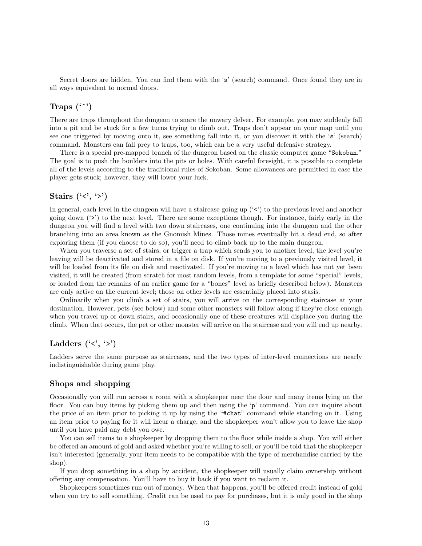Secret doors are hidden. You can find them with the 's' (search) command. Once found they are in all ways equivalent to normal doors.

### Traps  $($ ...' $)$

There are traps throughout the dungeon to snare the unwary delver. For example, you may suddenly fall into a pit and be stuck for a few turns trying to climb out. Traps don't appear on your map until you see one triggered by moving onto it, see something fall into it, or you discover it with the 's' (search) command. Monsters can fall prey to traps, too, which can be a very useful defensive strategy.

There is a special pre-mapped branch of the dungeon based on the classic computer game "Sokoban." The goal is to push the boulders into the pits or holes. With careful foresight, it is possible to complete all of the levels according to the traditional rules of Sokoban. Some allowances are permitted in case the player gets stuck; however, they will lower your luck.

## Stairs  $(\langle \cdot, \cdot \rangle)$

In general, each level in the dungeon will have a staircase going up  $(\leq)$  to the previous level and another going down ('>') to the next level. There are some exceptions though. For instance, fairly early in the dungeon you will find a level with two down staircases, one continuing into the dungeon and the other branching into an area known as the Gnomish Mines. Those mines eventually hit a dead end, so after exploring them (if you choose to do so), you'll need to climb back up to the main dungeon.

When you traverse a set of stairs, or trigger a trap which sends you to another level, the level you're leaving will be deactivated and stored in a file on disk. If you're moving to a previously visited level, it will be loaded from its file on disk and reactivated. If you're moving to a level which has not yet been visited, it will be created (from scratch for most random levels, from a template for some "special" levels, or loaded from the remains of an earlier game for a "bones" level as briefly described below). Monsters are only active on the current level; those on other levels are essentially placed into stasis.

Ordinarily when you climb a set of stairs, you will arrive on the corresponding staircase at your destination. However, pets (see below) and some other monsters will follow along if they're close enough when you travel up or down stairs, and occasionally one of these creatures will displace you during the climb. When that occurs, the pet or other monster will arrive on the staircase and you will end up nearby.

## Ladders  $(\langle \cdot, \cdot \rangle)$

Ladders serve the same purpose as staircases, and the two types of inter-level connections are nearly indistinguishable during game play.

### Shops and shopping

Occasionally you will run across a room with a shopkeeper near the door and many items lying on the floor. You can buy items by picking them up and then using the 'p' command. You can inquire about the price of an item prior to picking it up by using the "#chat" command while standing on it. Using an item prior to paying for it will incur a charge, and the shopkeeper won't allow you to leave the shop until you have paid any debt you owe.

You can sell items to a shopkeeper by dropping them to the floor while inside a shop. You will either be offered an amount of gold and asked whether you're willing to sell, or you'll be told that the shopkeeper isn't interested (generally, your item needs to be compatible with the type of merchandise carried by the shop).

If you drop something in a shop by accident, the shopkeeper will usually claim ownership without offering any compensation. You'll have to buy it back if you want to reclaim it.

Shopkeepers sometimes run out of money. When that happens, you'll be offered credit instead of gold when you try to sell something. Credit can be used to pay for purchases, but it is only good in the shop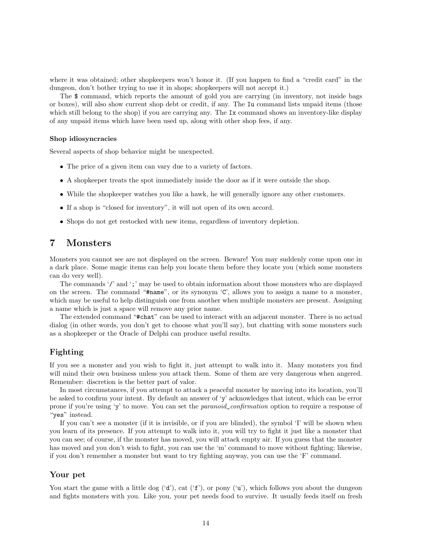where it was obtained; other shopkeepers won't honor it. (If you happen to find a "credit card" in the dungeon, don't bother trying to use it in shops; shopkeepers will not accept it.)

The \$ command, which reports the amount of gold you are carrying (in inventory, not inside bags or boxes), will also show current shop debt or credit, if any. The Iu command lists unpaid items (those which still belong to the shop) if you are carrying any. The Ix command shows an inventory-like display of any unpaid items which have been used up, along with other shop fees, if any.

#### Shop idiosyncracies

Several aspects of shop behavior might be unexpected.

- The price of a given item can vary due to a variety of factors.
- A shopkeeper treats the spot immediately inside the door as if it were outside the shop.
- While the shopkeeper watches you like a hawk, he will generally ignore any other customers.
- If a shop is "closed for inventory", it will not open of its own accord.
- Shops do not get restocked with new items, regardless of inventory depletion.

## 7 Monsters

Monsters you cannot see are not displayed on the screen. Beware! You may suddenly come upon one in a dark place. Some magic items can help you locate them before they locate you (which some monsters can do very well).

The commands '/' and ';' may be used to obtain information about those monsters who are displayed on the screen. The command "#name", or its synonym 'C', allows you to assign a name to a monster, which may be useful to help distinguish one from another when multiple monsters are present. Assigning a name which is just a space will remove any prior name.

The extended command "#chat" can be used to interact with an adjacent monster. There is no actual dialog (in other words, you don't get to choose what you'll say), but chatting with some monsters such as a shopkeeper or the Oracle of Delphi can produce useful results.

### Fighting

If you see a monster and you wish to fight it, just attempt to walk into it. Many monsters you find will mind their own business unless you attack them. Some of them are very dangerous when angered. Remember: discretion is the better part of valor.

In most circumstances, if you attempt to attack a peaceful monster by moving into its location, you'll be asked to confirm your intent. By default an answer of 'y' acknowledges that intent, which can be error prone if you're using 'y' to move. You can set the paranoid\_confirmation option to require a response of "yes" instead.

If you can't see a monster (if it is invisible, or if you are blinded), the symbol 'I' will be shown when you learn of its presence. If you attempt to walk into it, you will try to fight it just like a monster that you can see; of course, if the monster has moved, you will attack empty air. If you guess that the monster has moved and you don't wish to fight, you can use the 'm' command to move without fighting; likewise, if you don't remember a monster but want to try fighting anyway, you can use the 'F' command.

#### Your pet

You start the game with a little dog  $(d')$ , cat  $(f')$ , or pony  $(u')$ , which follows you about the dungeon and fights monsters with you. Like you, your pet needs food to survive. It usually feeds itself on fresh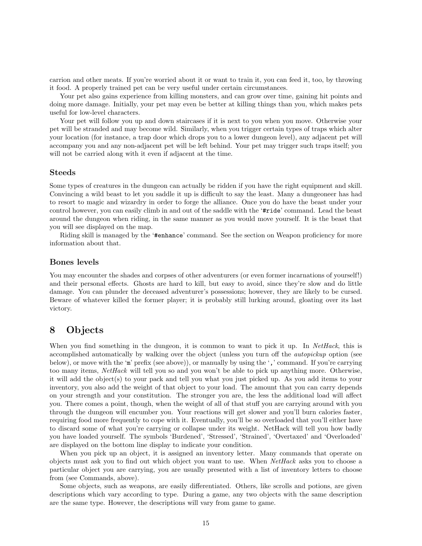carrion and other meats. If you're worried about it or want to train it, you can feed it, too, by throwing it food. A properly trained pet can be very useful under certain circumstances.

Your pet also gains experience from killing monsters, and can grow over time, gaining hit points and doing more damage. Initially, your pet may even be better at killing things than you, which makes pets useful for low-level characters.

Your pet will follow you up and down staircases if it is next to you when you move. Otherwise your pet will be stranded and may become wild. Similarly, when you trigger certain types of traps which alter your location (for instance, a trap door which drops you to a lower dungeon level), any adjacent pet will accompany you and any non-adjacent pet will be left behind. Your pet may trigger such traps itself; you will not be carried along with it even if adjacent at the time.

#### Steeds

Some types of creatures in the dungeon can actually be ridden if you have the right equipment and skill. Convincing a wild beast to let you saddle it up is difficult to say the least. Many a dungeoneer has had to resort to magic and wizardry in order to forge the alliance. Once you do have the beast under your control however, you can easily climb in and out of the saddle with the '#ride' command. Lead the beast around the dungeon when riding, in the same manner as you would move yourself. It is the beast that you will see displayed on the map.

Riding skill is managed by the '#enhance' command. See the section on Weapon proficiency for more information about that.

#### Bones levels

You may encounter the shades and corpses of other adventurers (or even former incarnations of yourself!) and their personal effects. Ghosts are hard to kill, but easy to avoid, since they're slow and do little damage. You can plunder the deceased adventurer's possessions; however, they are likely to be cursed. Beware of whatever killed the former player; it is probably still lurking around, gloating over its last victory.

## 8 Objects

When you find something in the dungeon, it is common to want to pick it up. In NetHack, this is accomplished automatically by walking over the object (unless you turn off the autopickup option (see below), or move with the 'm' prefix (see above)), or manually by using the ',' command. If you're carrying too many items, NetHack will tell you so and you won't be able to pick up anything more. Otherwise, it will add the object(s) to your pack and tell you what you just picked up. As you add items to your inventory, you also add the weight of that object to your load. The amount that you can carry depends on your strength and your constitution. The stronger you are, the less the additional load will affect you. There comes a point, though, when the weight of all of that stuff you are carrying around with you through the dungeon will encumber you. Your reactions will get slower and you'll burn calories faster, requiring food more frequently to cope with it. Eventually, you'll be so overloaded that you'll either have to discard some of what you're carrying or collapse under its weight. NetHack will tell you how badly you have loaded yourself. The symbols 'Burdened', 'Stressed', 'Strained', 'Overtaxed' and 'Overloaded' are displayed on the bottom line display to indicate your condition.

When you pick up an object, it is assigned an inventory letter. Many commands that operate on objects must ask you to find out which object you want to use. When NetHack asks you to choose a particular object you are carrying, you are usually presented with a list of inventory letters to choose from (see Commands, above).

Some objects, such as weapons, are easily differentiated. Others, like scrolls and potions, are given descriptions which vary according to type. During a game, any two objects with the same description are the same type. However, the descriptions will vary from game to game.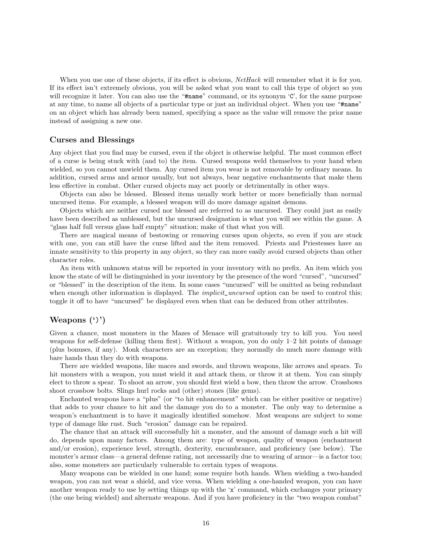When you use one of these objects, if its effect is obvious,  $NetHack$  will remember what it is for you. If its effect isn't extremely obvious, you will be asked what you want to call this type of object so you will recognize it later. You can also use the "#name" command, or its synonym 'C', for the same purpose at any time, to name all objects of a particular type or just an individual object. When you use "#name" on an object which has already been named, specifying a space as the value will remove the prior name instead of assigning a new one.

#### Curses and Blessings

Any object that you find may be cursed, even if the object is otherwise helpful. The most common effect of a curse is being stuck with (and to) the item. Cursed weapons weld themselves to your hand when wielded, so you cannot unwield them. Any cursed item you wear is not removable by ordinary means. In addition, cursed arms and armor usually, but not always, bear negative enchantments that make them less effective in combat. Other cursed objects may act poorly or detrimentally in other ways.

Objects can also be blessed. Blessed items usually work better or more beneficially than normal uncursed items. For example, a blessed weapon will do more damage against demons.

Objects which are neither cursed nor blessed are referred to as uncursed. They could just as easily have been described as unblessed, but the uncursed designation is what you will see within the game. A "glass half full versus glass half empty" situation; make of that what you will.

There are magical means of bestowing or removing curses upon objects, so even if you are stuck with one, you can still have the curse lifted and the item removed. Priests and Priestesses have an innate sensitivity to this property in any object, so they can more easily avoid cursed objects than other character roles.

An item with unknown status will be reported in your inventory with no prefix. An item which you know the state of will be distinguished in your inventory by the presence of the word "cursed", "uncursed" or "blessed" in the description of the item. In some cases "uncursed" will be omitted as being redundant when enough other information is displayed. The *implicit\_uncursed* option can be used to control this; toggle it off to have "uncursed" be displayed even when that can be deduced from other attributes.

### Weapons (')')

Given a chance, most monsters in the Mazes of Menace will gratuitously try to kill you. You need weapons for self-defense (killing them first). Without a weapon, you do only 1–2 hit points of damage (plus bonuses, if any). Monk characters are an exception; they normally do much more damage with bare hands than they do with weapons.

There are wielded weapons, like maces and swords, and thrown weapons, like arrows and spears. To hit monsters with a weapon, you must wield it and attack them, or throw it at them. You can simply elect to throw a spear. To shoot an arrow, you should first wield a bow, then throw the arrow. Crossbows shoot crossbow bolts. Slings hurl rocks and (other) stones (like gems).

Enchanted weapons have a "plus" (or "to hit enhancement" which can be either positive or negative) that adds to your chance to hit and the damage you do to a monster. The only way to determine a weapon's enchantment is to have it magically identified somehow. Most weapons are subject to some type of damage like rust. Such "erosion" damage can be repaired.

The chance that an attack will successfully hit a monster, and the amount of damage such a hit will do, depends upon many factors. Among them are: type of weapon, quality of weapon (enchantment and/or erosion), experience level, strength, dexterity, encumbrance, and proficiency (see below). The monster's armor class—a general defense rating, not necessarily due to wearing of armor—is a factor too; also, some monsters are particularly vulnerable to certain types of weapons.

Many weapons can be wielded in one hand; some require both hands. When wielding a two-handed weapon, you can not wear a shield, and vice versa. When wielding a one-handed weapon, you can have another weapon ready to use by setting things up with the 'x' command, which exchanges your primary (the one being wielded) and alternate weapons. And if you have proficiency in the "two weapon combat"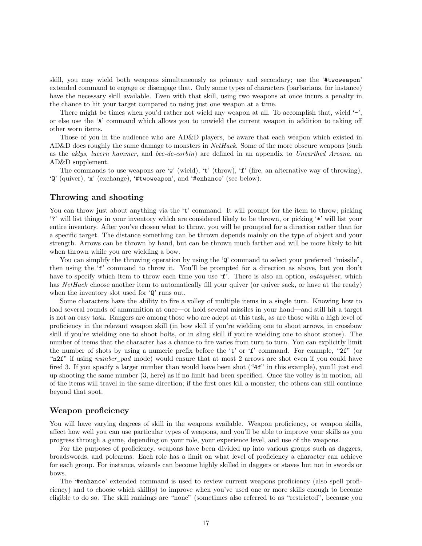skill, you may wield both weapons simultaneously as primary and secondary; use the '#twoweapon' extended command to engage or disengage that. Only some types of characters (barbarians, for instance) have the necessary skill available. Even with that skill, using two weapons at once incurs a penalty in the chance to hit your target compared to using just one weapon at a time.

There might be times when you'd rather not wield any weapon at all. To accomplish that, wield  $\dot{\ }$ -', or else use the 'A' command which allows you to unwield the current weapon in addition to taking off other worn items.

Those of you in the audience who are AD&D players, be aware that each weapon which existed in AD&D does roughly the same damage to monsters in *NetHack*. Some of the more obscure weapons (such as the aklys, lucern hammer, and bec-de-corbin) are defined in an appendix to Unearthed Arcana, an AD&D supplement.

The commands to use weapons are 'w' (wield), 't' (throw), 'f' (fire, an alternative way of throwing), 'Q' (quiver), 'x' (exchange), '#twoweapon', and '#enhance' (see below).

#### Throwing and shooting

You can throw just about anything via the 't' command. It will prompt for the item to throw; picking '?' will list things in your inventory which are considered likely to be thrown, or picking '\*' will list your entire inventory. After you've chosen what to throw, you will be prompted for a direction rather than for a specific target. The distance something can be thrown depends mainly on the type of object and your strength. Arrows can be thrown by hand, but can be thrown much farther and will be more likely to hit when thrown while you are wielding a bow.

You can simplify the throwing operation by using the 'Q' command to select your preferred "missile". then using the 'f' command to throw it. You'll be prompted for a direction as above, but you don't have to specify which item to throw each time you use 'f'. There is also an option, *autoquiver*, which has NetHack choose another item to automatically fill your quiver (or quiver sack, or have at the ready) when the inventory slot used for 'Q' runs out.

Some characters have the ability to fire a volley of multiple items in a single turn. Knowing how to load several rounds of ammunition at once—or hold several missiles in your hand—and still hit a target is not an easy task. Rangers are among those who are adept at this task, as are those with a high level of proficiency in the relevant weapon skill (in bow skill if you're wielding one to shoot arrows, in crossbow skill if you're wielding one to shoot bolts, or in sling skill if you're wielding one to shoot stones). The number of items that the character has a chance to fire varies from turn to turn. You can explicitly limit the number of shots by using a numeric prefix before the 't' or 'f' command. For example, "2f" (or "n2f" if using *number\_pad* mode) would ensure that at most 2 arrows are shot even if you could have fired 3. If you specify a larger number than would have been shot ("4f" in this example), you'll just end up shooting the same number (3, here) as if no limit had been specified. Once the volley is in motion, all of the items will travel in the same direction; if the first ones kill a monster, the others can still continue beyond that spot.

#### Weapon proficiency

You will have varying degrees of skill in the weapons available. Weapon proficiency, or weapon skills, affect how well you can use particular types of weapons, and you'll be able to improve your skills as you progress through a game, depending on your role, your experience level, and use of the weapons.

For the purposes of proficiency, weapons have been divided up into various groups such as daggers, broadswords, and polearms. Each role has a limit on what level of proficiency a character can achieve for each group. For instance, wizards can become highly skilled in daggers or staves but not in swords or bows.

The '#enhance' extended command is used to review current weapons proficiency (also spell proficiency) and to choose which skill(s) to improve when you've used one or more skills enough to become eligible to do so. The skill rankings are "none" (sometimes also referred to as "restricted", because you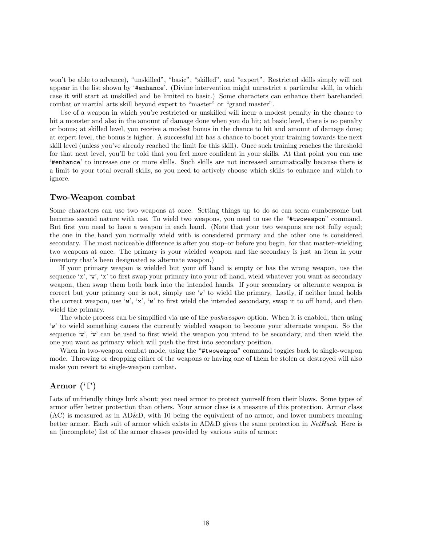won't be able to advance), "unskilled", "basic", "skilled", and "expert". Restricted skills simply will not appear in the list shown by '#enhance'. (Divine intervention might unrestrict a particular skill, in which case it will start at unskilled and be limited to basic.) Some characters can enhance their barehanded combat or martial arts skill beyond expert to "master" or "grand master".

Use of a weapon in which you're restricted or unskilled will incur a modest penalty in the chance to hit a monster and also in the amount of damage done when you do hit; at basic level, there is no penalty or bonus; at skilled level, you receive a modest bonus in the chance to hit and amount of damage done; at expert level, the bonus is higher. A successful hit has a chance to boost your training towards the next skill level (unless you've already reached the limit for this skill). Once such training reaches the threshold for that next level, you'll be told that you feel more confident in your skills. At that point you can use '#enhance' to increase one or more skills. Such skills are not increased automatically because there is a limit to your total overall skills, so you need to actively choose which skills to enhance and which to ignore.

#### Two-Weapon combat

Some characters can use two weapons at once. Setting things up to do so can seem cumbersome but becomes second nature with use. To wield two weapons, you need to use the "#twoweapon" command. But first you need to have a weapon in each hand. (Note that your two weapons are not fully equal; the one in the hand you normally wield with is considered primary and the other one is considered secondary. The most noticeable difference is after you stop–or before you begin, for that matter–wielding two weapons at once. The primary is your wielded weapon and the secondary is just an item in your inventory that's been designated as alternate weapon.)

If your primary weapon is wielded but your off hand is empty or has the wrong weapon, use the sequence 'x', 'w', 'x' to first swap your primary into your off hand, wield whatever you want as secondary weapon, then swap them both back into the intended hands. If your secondary or alternate weapon is correct but your primary one is not, simply use 'w' to wield the primary. Lastly, if neither hand holds the correct weapon, use 'w', 'x', 'w' to first wield the intended secondary, swap it to off hand, and then wield the primary.

The whole process can be simplified via use of the *pushweapon* option. When it is enabled, then using 'w' to wield something causes the currently wielded weapon to become your alternate weapon. So the sequence 'w', 'w' can be used to first wield the weapon you intend to be secondary, and then wield the one you want as primary which will push the first into secondary position.

When in two-weapon combat mode, using the "#twoweapon" command toggles back to single-weapon mode. Throwing or dropping either of the weapons or having one of them be stolen or destroyed will also make you revert to single-weapon combat.

### Armor  $({}^{\mathfrak{c}}[$ ')

Lots of unfriendly things lurk about; you need armor to protect yourself from their blows. Some types of armor offer better protection than others. Your armor class is a measure of this protection. Armor class (AC) is measured as in AD&D, with 10 being the equivalent of no armor, and lower numbers meaning better armor. Each suit of armor which exists in AD&D gives the same protection in NetHack. Here is an (incomplete) list of the armor classes provided by various suits of armor: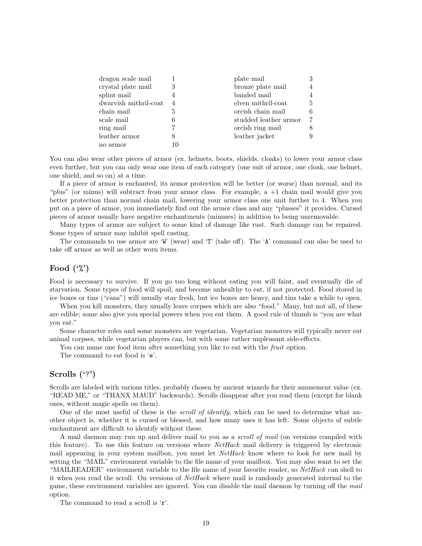| dragon scale mail     |   | plate mail            |   |
|-----------------------|---|-----------------------|---|
| crystal plate mail    | 3 | bronze plate mail     |   |
| splint mail           |   | banded mail           |   |
| dwarvish mithril-coat | 4 | elven mithril-coat    | 5 |
| chain mail            | 5 | orcish chain mail     |   |
| scale mail            | 6 | studded leather armor |   |
| ring mail             |   | orcish ring mail      |   |
| leather armor         | 8 | leather jacket        |   |
| no armor              |   |                       |   |

You can also wear other pieces of armor (ex. helmets, boots, shields, cloaks) to lower your armor class even further, but you can only wear one item of each category (one suit of armor, one cloak, one helmet, one shield, and so on) at a time.

If a piece of armor is enchanted, its armor protection will be better (or worse) than normal, and its "plus" (or minus) will subtract from your armor class. For example, a +1 chain mail would give you better protection than normal chain mail, lowering your armor class one unit further to 4. When you put on a piece of armor, you immediately find out the armor class and any "plusses" it provides. Cursed pieces of armor usually have negative enchantments (minuses) in addition to being unremovable.

Many types of armor are subject to some kind of damage like rust. Such damage can be repaired. Some types of armor may inhibit spell casting.

The commands to use armor are 'W' (wear) and 'T' (take off). The 'A' command can also be used to take off armor as well as other worn items.

### Food  $(\cdot \%)$

Food is necessary to survive. If you go too long without eating you will faint, and eventually die of starvation. Some types of food will spoil, and become unhealthy to eat, if not protected. Food stored in ice boxes or tins ("cans") will usually stay fresh, but ice boxes are heavy, and tins take a while to open.

When you kill monsters, they usually leave corpses which are also "food." Many, but not all, of these are edible; some also give you special powers when you eat them. A good rule of thumb is "you are what you eat."

Some character roles and some monsters are vegetarian. Vegetarian monsters will typically never eat animal corpses, while vegetarian players can, but with some rather unpleasant side-effects.

You can name one food item after something you like to eat with the *fruit* option.

The command to eat food is 'e'.

### Scrolls ('?')

Scrolls are labeled with various titles, probably chosen by ancient wizards for their amusement value (ex. "READ ME," or "THANX MAUD" backwards). Scrolls disappear after you read them (except for blank ones, without magic spells on them).

One of the most useful of these is the *scroll of identify*, which can be used to determine what another object is, whether it is cursed or blessed, and how many uses it has left. Some objects of subtle enchantment are difficult to identify without these.

A mail daemon may run up and deliver mail to you as a *scroll of mail* (on versions compiled with this feature). To use this feature on versions where NetHack mail delivery is triggered by electronic mail appearing in your system mailbox, you must let NetHack know where to look for new mail by setting the "MAIL" environment variable to the file name of your mailbox. You may also want to set the "MAILREADER" environment variable to the file name of your favorite reader, so NetHack can shell to it when you read the scroll. On versions of NetHack where mail is randomly generated internal to the game, these environment variables are ignored. You can disable the mail daemon by turning off the mail option.

The command to read a scroll is 'r'.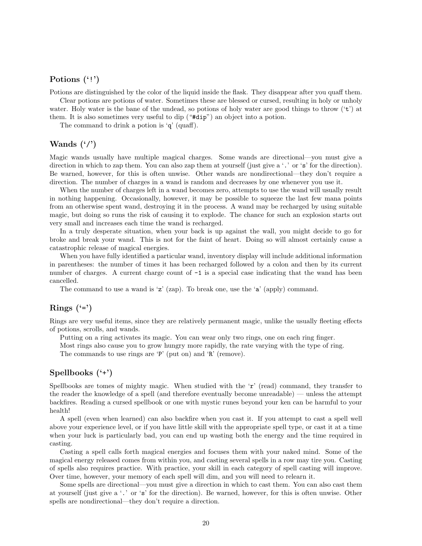### Potions  $($ '!')

Potions are distinguished by the color of the liquid inside the flask. They disappear after you quaff them.

Clear potions are potions of water. Sometimes these are blessed or cursed, resulting in holy or unholy water. Holy water is the bane of the undead, so potions of holy water are good things to throw  $(2)$  at them. It is also sometimes very useful to dip ("#dip") an object into a potion.

The command to drink a potion is 'q' (quaff).

### Wands  $(\cdot)$

Magic wands usually have multiple magical charges. Some wands are directional—you must give a direction in which to zap them. You can also zap them at yourself (just give a '.' or 's' for the direction). Be warned, however, for this is often unwise. Other wands are nondirectional—they don't require a direction. The number of charges in a wand is random and decreases by one whenever you use it.

When the number of charges left in a wand becomes zero, attempts to use the wand will usually result in nothing happening. Occasionally, however, it may be possible to squeeze the last few mana points from an otherwise spent wand, destroying it in the process. A wand may be recharged by using suitable magic, but doing so runs the risk of causing it to explode. The chance for such an explosion starts out very small and increases each time the wand is recharged.

In a truly desperate situation, when your back is up against the wall, you might decide to go for broke and break your wand. This is not for the faint of heart. Doing so will almost certainly cause a catastrophic release of magical energies.

When you have fully identified a particular wand, inventory display will include additional information in parentheses: the number of times it has been recharged followed by a colon and then by its current number of charges. A current charge count of  $-1$  is a special case indicating that the wand has been cancelled.

The command to use a wand is  $z'$  (zap). To break one, use the  $a'$  (apply) command.

### Rings  $(*)$

Rings are very useful items, since they are relatively permanent magic, unlike the usually fleeting effects of potions, scrolls, and wands.

Putting on a ring activates its magic. You can wear only two rings, one on each ring finger.

Most rings also cause you to grow hungry more rapidly, the rate varying with the type of ring.

The commands to use rings are 'P' (put on) and 'R' (remove).

## Spellbooks ('+')

Spellbooks are tomes of mighty magic. When studied with the 'r' (read) command, they transfer to the reader the knowledge of a spell (and therefore eventually become unreadable) — unless the attempt backfires. Reading a cursed spellbook or one with mystic runes beyond your ken can be harmful to your health!

A spell (even when learned) can also backfire when you cast it. If you attempt to cast a spell well above your experience level, or if you have little skill with the appropriate spell type, or cast it at a time when your luck is particularly bad, you can end up wasting both the energy and the time required in casting.

Casting a spell calls forth magical energies and focuses them with your naked mind. Some of the magical energy released comes from within you, and casting several spells in a row may tire you. Casting of spells also requires practice. With practice, your skill in each category of spell casting will improve. Over time, however, your memory of each spell will dim, and you will need to relearn it.

Some spells are directional—you must give a direction in which to cast them. You can also cast them at yourself (just give a '.' or 's' for the direction). Be warned, however, for this is often unwise. Other spells are nondirectional—they don't require a direction.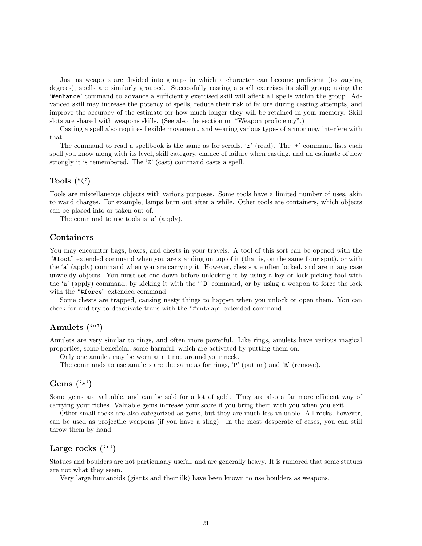Just as weapons are divided into groups in which a character can become proficient (to varying degrees), spells are similarly grouped. Successfully casting a spell exercises its skill group; using the '#enhance' command to advance a sufficiently exercised skill will affect all spells within the group. Advanced skill may increase the potency of spells, reduce their risk of failure during casting attempts, and improve the accuracy of the estimate for how much longer they will be retained in your memory. Skill slots are shared with weapons skills. (See also the section on "Weapon proficiency".)

Casting a spell also requires flexible movement, and wearing various types of armor may interfere with that.

The command to read a spellbook is the same as for scrolls,  $\mathbf{r}'$  (read). The  $\mathbf{r}'$  command lists each spell you know along with its level, skill category, chance of failure when casting, and an estimate of how strongly it is remembered. The 'Z' (cast) command casts a spell.

### Tools  $({\cal C})$

Tools are miscellaneous objects with various purposes. Some tools have a limited number of uses, akin to wand charges. For example, lamps burn out after a while. Other tools are containers, which objects can be placed into or taken out of.

The command to use tools is 'a' (apply).

#### Containers

You may encounter bags, boxes, and chests in your travels. A tool of this sort can be opened with the "#loot" extended command when you are standing on top of it (that is, on the same floor spot), or with the 'a' (apply) command when you are carrying it. However, chests are often locked, and are in any case unwieldy objects. You must set one down before unlocking it by using a key or lock-picking tool with the 'a' (apply) command, by kicking it with the ' $\mathcal{D}'$  command, or by using a weapon to force the lock with the "#force" extended command.

Some chests are trapped, causing nasty things to happen when you unlock or open them. You can check for and try to deactivate traps with the "#untrap" extended command.

### Amulets ('"')

Amulets are very similar to rings, and often more powerful. Like rings, amulets have various magical properties, some beneficial, some harmful, which are activated by putting them on.

Only one amulet may be worn at a time, around your neck.

The commands to use amulets are the same as for rings, 'P' (put on) and 'R' (remove).

### Gems  $(*")$

Some gems are valuable, and can be sold for a lot of gold. They are also a far more efficient way of carrying your riches. Valuable gems increase your score if you bring them with you when you exit.

Other small rocks are also categorized as gems, but they are much less valuable. All rocks, however, can be used as projectile weapons (if you have a sling). In the most desperate of cases, you can still throw them by hand.

### Large rocks  $($ ,  $'$

Statues and boulders are not particularly useful, and are generally heavy. It is rumored that some statues are not what they seem.

Very large humanoids (giants and their ilk) have been known to use boulders as weapons.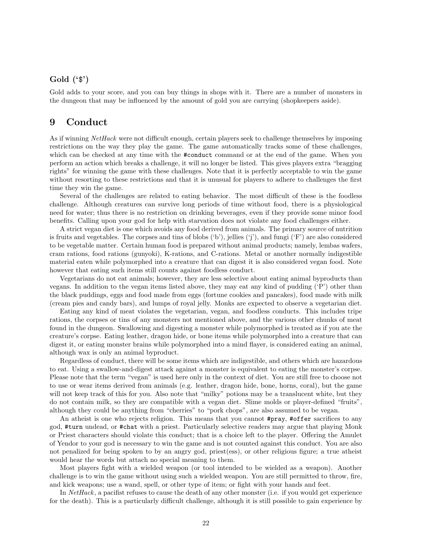### Gold ('\$')

Gold adds to your score, and you can buy things in shops with it. There are a number of monsters in the dungeon that may be influenced by the amount of gold you are carrying (shopkeepers aside).

## 9 Conduct

As if winning NetHack were not difficult enough, certain players seek to challenge themselves by imposing restrictions on the way they play the game. The game automatically tracks some of these challenges, which can be checked at any time with the #conduct command or at the end of the game. When you perform an action which breaks a challenge, it will no longer be listed. This gives players extra "bragging rights" for winning the game with these challenges. Note that it is perfectly acceptable to win the game without resorting to these restrictions and that it is unusual for players to adhere to challenges the first time they win the game.

Several of the challenges are related to eating behavior. The most difficult of these is the foodless challenge. Although creatures can survive long periods of time without food, there is a physiological need for water; thus there is no restriction on drinking beverages, even if they provide some minor food benefits. Calling upon your god for help with starvation does not violate any food challenges either.

A strict vegan diet is one which avoids any food derived from animals. The primary source of nutrition is fruits and vegetables. The corpses and tins of blobs ('b'), jellies ('j'), and fungi ('F') are also considered to be vegetable matter. Certain human food is prepared without animal products; namely, lembas wafers, cram rations, food rations (gunyoki), K-rations, and C-rations. Metal or another normally indigestible material eaten while polymorphed into a creature that can digest it is also considered vegan food. Note however that eating such items still counts against foodless conduct.

Vegetarians do not eat animals; however, they are less selective about eating animal byproducts than vegans. In addition to the vegan items listed above, they may eat any kind of pudding ('P') other than the black puddings, eggs and food made from eggs (fortune cookies and pancakes), food made with milk (cream pies and candy bars), and lumps of royal jelly. Monks are expected to observe a vegetarian diet.

Eating any kind of meat violates the vegetarian, vegan, and foodless conducts. This includes tripe rations, the corpses or tins of any monsters not mentioned above, and the various other chunks of meat found in the dungeon. Swallowing and digesting a monster while polymorphed is treated as if you ate the creature's corpse. Eating leather, dragon hide, or bone items while polymorphed into a creature that can digest it, or eating monster brains while polymorphed into a mind flayer, is considered eating an animal, although wax is only an animal byproduct.

Regardless of conduct, there will be some items which are indigestible, and others which are hazardous to eat. Using a swallow-and-digest attack against a monster is equivalent to eating the monster's corpse. Please note that the term "vegan" is used here only in the context of diet. You are still free to choose not to use or wear items derived from animals (e.g. leather, dragon hide, bone, horns, coral), but the game will not keep track of this for you. Also note that "milky" potions may be a translucent white, but they do not contain milk, so they are compatible with a vegan diet. Slime molds or player-defined "fruits", although they could be anything from "cherries" to "pork chops", are also assumed to be vegan.

An atheist is one who rejects religion. This means that you cannot  $\# \text{pray}$ ,  $\# \text{offer}$  sacrifices to any god, #turn undead, or #chat with a priest. Particularly selective readers may argue that playing Monk or Priest characters should violate this conduct; that is a choice left to the player. Offering the Amulet of Yendor to your god is necessary to win the game and is not counted against this conduct. You are also not penalized for being spoken to by an angry god, priest(ess), or other religious figure; a true atheist would hear the words but attach no special meaning to them.

Most players fight with a wielded weapon (or tool intended to be wielded as a weapon). Another challenge is to win the game without using such a wielded weapon. You are still permitted to throw, fire, and kick weapons; use a wand, spell, or other type of item; or fight with your hands and feet.

In NetHack, a pacifist refuses to cause the death of any other monster (i.e. if you would get experience for the death). This is a particularly difficult challenge, although it is still possible to gain experience by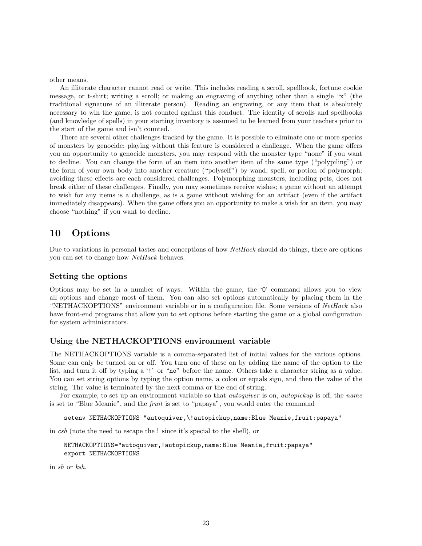other means.

An illiterate character cannot read or write. This includes reading a scroll, spellbook, fortune cookie message, or t-shirt; writing a scroll; or making an engraving of anything other than a single "x" (the traditional signature of an illiterate person). Reading an engraving, or any item that is absolutely necessary to win the game, is not counted against this conduct. The identity of scrolls and spellbooks (and knowledge of spells) in your starting inventory is assumed to be learned from your teachers prior to the start of the game and isn't counted.

There are several other challenges tracked by the game. It is possible to eliminate one or more species of monsters by genocide; playing without this feature is considered a challenge. When the game offers you an opportunity to genocide monsters, you may respond with the monster type "none" if you want to decline. You can change the form of an item into another item of the same type ("polypiling") or the form of your own body into another creature ("polyself") by wand, spell, or potion of polymorph; avoiding these effects are each considered challenges. Polymorphing monsters, including pets, does not break either of these challenges. Finally, you may sometimes receive wishes; a game without an attempt to wish for any items is a challenge, as is a game without wishing for an artifact (even if the artifact immediately disappears). When the game offers you an opportunity to make a wish for an item, you may choose "nothing" if you want to decline.

## 10 Options

Due to variations in personal tastes and conceptions of how *NetHack* should do things, there are options you can set to change how NetHack behaves.

### Setting the options

Options may be set in a number of ways. Within the game, the 'O' command allows you to view all options and change most of them. You can also set options automatically by placing them in the "NETHACKOPTIONS" environment variable or in a configuration file. Some versions of NetHack also have front-end programs that allow you to set options before starting the game or a global configuration for system administrators.

### Using the NETHACKOPTIONS environment variable

The NETHACKOPTIONS variable is a comma-separated list of initial values for the various options. Some can only be turned on or off. You turn one of these on by adding the name of the option to the list, and turn it off by typing a '!' or "no" before the name. Others take a character string as a value. You can set string options by typing the option name, a colon or equals sign, and then the value of the string. The value is terminated by the next comma or the end of string.

For example, to set up an environment variable so that *autoquiver* is on, *autopickup* is off, the *name* is set to "Blue Meanie", and the fruit is set to "papaya", you would enter the command

setenv NETHACKOPTIONS "autoquiver,\!autopickup,name:Blue Meanie,fruit:papaya"

in csh (note the need to escape the ! since it's special to the shell), or

```
NETHACKOPTIONS="autoquiver,!autopickup,name:Blue Meanie,fruit:papaya"
export NETHACKOPTIONS
```
in sh or ksh.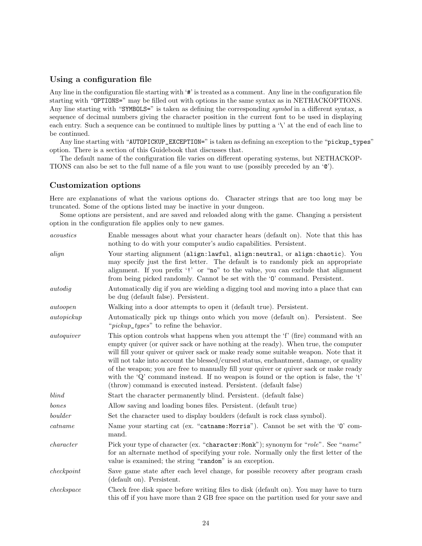### Using a configuration file

Any line in the configuration file starting with '#' is treated as a comment. Any line in the configuration file starting with "OPTIONS=" may be filled out with options in the same syntax as in NETHACKOPTIONS. Any line starting with "SYMBOLS=" is taken as defining the corresponding symbol in a different syntax, a sequence of decimal numbers giving the character position in the current font to be used in displaying each entry. Such a sequence can be continued to multiple lines by putting a '\' at the end of each line to be continued.

Any line starting with "AUTOPICKUP\_EXCEPTION=" is taken as defining an exception to the "pickup\_types" option. There is a section of this Guidebook that discusses that.

The default name of the configuration file varies on different operating systems, but NETHACKOP-TIONS can also be set to the full name of a file you want to use (possibly preceded by an '@').

#### Customization options

Here are explanations of what the various options do. Character strings that are too long may be truncated. Some of the options listed may be inactive in your dungeon.

Some options are persistent, and are saved and reloaded along with the game. Changing a persistent option in the configuration file applies only to new games.

| acoustics   | Enable messages about what your character hears (default on). Note that this has<br>nothing to do with your computer's audio capabilities. Persistent.                                                                                                                                                                                                                                                                                                                                                                                                                                                         |
|-------------|----------------------------------------------------------------------------------------------------------------------------------------------------------------------------------------------------------------------------------------------------------------------------------------------------------------------------------------------------------------------------------------------------------------------------------------------------------------------------------------------------------------------------------------------------------------------------------------------------------------|
| align       | Your starting alignment (align:lawful, align:neutral, or align:chaotic). You<br>may specify just the first letter. The default is to randomly pick an appropriate<br>alignment. If you prefix '!' or "no" to the value, you can exclude that alignment<br>from being picked randomly. Cannot be set with the '0' command. Persistent.                                                                                                                                                                                                                                                                          |
| autodig     | Automatically dig if you are wielding a digging tool and moving into a place that can<br>be dug (default false). Persistent.                                                                                                                                                                                                                                                                                                                                                                                                                                                                                   |
| autoopen    | Walking into a door attempts to open it (default true). Persistent.                                                                                                                                                                                                                                                                                                                                                                                                                                                                                                                                            |
| autopickup  | Automatically pick up things onto which you move (default on). Persistent. See<br>" <i>pickup_types</i> " to refine the behavior.                                                                                                                                                                                                                                                                                                                                                                                                                                                                              |
| auto quiver | This option controls what happens when you attempt the 'f' (fire) command with an<br>empty quiver (or quiver sack or have nothing at the ready). When true, the computer<br>will fill your quiver or quiver sack or make ready some suitable weapon. Note that it<br>will not take into account the blessed/cursed status, enchantment, damage, or quality<br>of the weapon; you are free to manually fill your quiver or quiver sack or make ready<br>with the 'Q' command instead. If no weapon is found or the option is false, the 't'<br>(throw) command is executed instead. Persistent. (default false) |
| blind       | Start the character permanently blind. Persistent. (default false)                                                                                                                                                                                                                                                                                                                                                                                                                                                                                                                                             |
| bones       | Allow saving and loading bones files. Persistent. (default true)                                                                                                                                                                                                                                                                                                                                                                                                                                                                                                                                               |
| boulder     | Set the character used to display boulders (default is rock class symbol).                                                                                                                                                                                                                                                                                                                                                                                                                                                                                                                                     |
| catname     | Name your starting cat (ex. "catname: Morris"). Cannot be set with the '0' com-<br>mand.                                                                                                                                                                                                                                                                                                                                                                                                                                                                                                                       |
| character   | Pick your type of character (ex. "character: Monk"); synonym for "role". See "name"<br>for an alternate method of specifying your role. Normally only the first letter of the<br>value is examined; the string "random" is an exception.                                                                                                                                                                                                                                                                                                                                                                       |
| check point | Save game state after each level change, for possible recovery after program crash<br>(default on). Persistent.                                                                                                                                                                                                                                                                                                                                                                                                                                                                                                |
| checkspace  | Check free disk space before writing files to disk (default on). You may have to turn<br>this off if you have more than 2 GB free space on the partition used for your save and                                                                                                                                                                                                                                                                                                                                                                                                                                |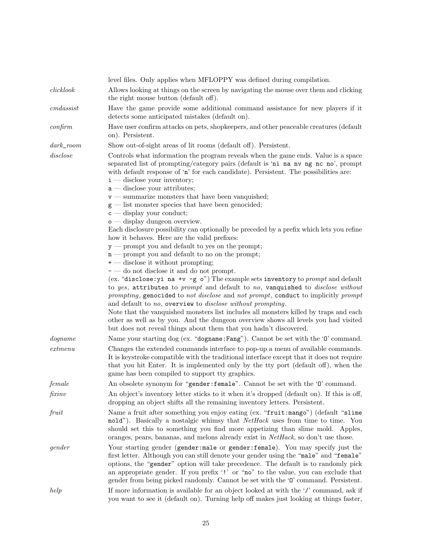|                 | level files. Only applies when MFLOPPY was defined during compilation.                                                                                                                                                                                                                                                                                                                                                                                                                                                                                                           |
|-----------------|----------------------------------------------------------------------------------------------------------------------------------------------------------------------------------------------------------------------------------------------------------------------------------------------------------------------------------------------------------------------------------------------------------------------------------------------------------------------------------------------------------------------------------------------------------------------------------|
| clicklook       | Allows looking at things on the screen by navigating the mouse over them and clicking<br>the right mouse button (default off).                                                                                                                                                                                                                                                                                                                                                                                                                                                   |
| $\,cm\,dassist$ | Have the game provide some additional command assistance for new players if it<br>detects some anticipated mistakes (default on).                                                                                                                                                                                                                                                                                                                                                                                                                                                |
| $\alpha$ nfirm  | Have user confirm attacks on pets, shopkeepers, and other peaceable creatures (default<br>on). Persistent.                                                                                                                                                                                                                                                                                                                                                                                                                                                                       |
| $dark\_room$    | Show out-of-sight areas of lit rooms (default off). Persistent.                                                                                                                                                                                                                                                                                                                                                                                                                                                                                                                  |
| disclose        | Controls what information the program reveals when the game ends. Value is a space<br>separated list of prompting/category pairs (default is 'ni na nv ng nc no', prompt<br>with default response of 'n' for each candidate). Persistent. The possibilities are:<br>$\mathbf{i}$ — disclose your inventory;<br>$a$ — disclose your attributes;<br>$v$ — summarize monsters that have been vanquished;<br>$g$ — list monster species that have been genocided;<br>$c$ — display your conduct;<br>$\circ$ - display dungeon overview.                                              |
|                 | Each disclosure possibility can optionally be preceded by a prefix which lets you refine<br>how it behaves. Here are the valid prefixes:<br>$y$ — prompt you and default to yes on the prompt;                                                                                                                                                                                                                                                                                                                                                                                   |
|                 | $n$ – prompt you and default to no on the prompt;                                                                                                                                                                                                                                                                                                                                                                                                                                                                                                                                |
|                 | $+$ — disclose it without prompting;                                                                                                                                                                                                                                                                                                                                                                                                                                                                                                                                             |
|                 | $\overline{\phantom{a}}$ — do not disclose it and do not prompt.                                                                                                                                                                                                                                                                                                                                                                                                                                                                                                                 |
|                 | (ex. "disclose: yi na +v -g o") The example sets inventory to <i>prompt</i> and default<br>to yes, attributes to prompt and default to no, vanquished to disclose without<br>prompting, genocided to not disclose and not prompt, conduct to implicitly prompt<br>and default to no, overview to disclose without prompting.<br>Note that the vanquished monsters list includes all monsters killed by traps and each<br>other as well as by you. And the dungeon overview shows all levels you had visited<br>but does not reveal things about them that you hadn't discovered. |
| $\log name$     | Name your starting dog (ex. "dogname: Fang"). Cannot be set with the '0' command.                                                                                                                                                                                                                                                                                                                                                                                                                                                                                                |
| extmenu         | Changes the extended commands interface to pop-up a menu of available commands.<br>It is keystroke compatible with the traditional interface except that it does not require<br>that you hit Enter. It is implemented only by the tty port (default off), when the<br>game has been compiled to support tty graphics.                                                                                                                                                                                                                                                            |
| female          | An obsolete synonym for "gender: female". Cannot be set with the '0' command.                                                                                                                                                                                                                                                                                                                                                                                                                                                                                                    |
| fixinv          | An object's inventory letter sticks to it when it's dropped (default on). If this is off,<br>dropping an object shifts all the remaining inventory letters. Persistent.                                                                                                                                                                                                                                                                                                                                                                                                          |
| fruit           | Name a fruit after something you enjoy eating (ex. "fruit:mango") (default "slime<br>mold"). Basically a nostalgic whimsy that NetHack uses from time to time. You<br>should set this to something you find more appetizing than slime mold. Apples,<br>oranges, pears, bananas, and melons already exist in NetHack, so don't use those.                                                                                                                                                                                                                                        |
| gender          | Your starting gender (gender: male or gender: female). You may specify just the<br>first letter. Although you can still denote your gender using the "male" and "female"<br>options, the "gender" option will take precedence. The default is to randomly pick<br>an appropriate gender. If you prefix '!' or "no" to the value, you can exclude that<br>gender from being picked randomly. Cannot be set with the '0' command. Persistent.                                                                                                                                      |
| help            | If more information is available for an object looked at with the $\prime$ command, ask if<br>you want to see it (default on). Turning help off makes just looking at things faster,                                                                                                                                                                                                                                                                                                                                                                                             |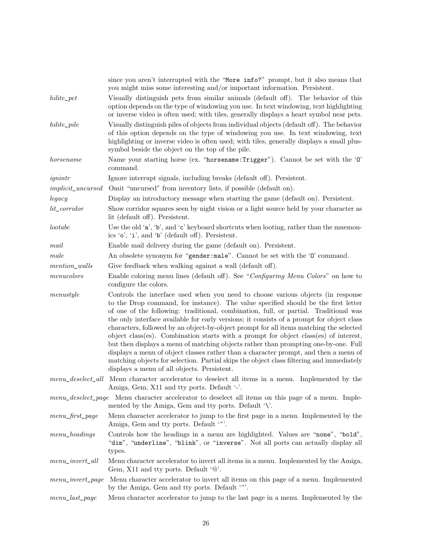|                            | since you aren't interrupted with the "More info?" prompt, but it also means that<br>you might miss some interesting and/or important information. Persistent.                                                                                                                                                                                                                                                                                        |
|----------------------------|-------------------------------------------------------------------------------------------------------------------------------------------------------------------------------------------------------------------------------------------------------------------------------------------------------------------------------------------------------------------------------------------------------------------------------------------------------|
| $hilite\_pet$              | Visually distinguish pets from similar animals (default off). The behavior of this<br>option depends on the type of windowing you use. In text windowing, text highlighting<br>or inverse video is often used; with tiles, generally displays a heart symbol near pets.                                                                                                                                                                               |
| $hilite$ <sub>-pile</sub>  | Visually distinguish piles of objects from individual objects (default off). The behavior<br>of this option depends on the type of windowing you use. In text windowing, text<br>highlighting or inverse video is often used; with tiles, generally displays a small plus-<br>symbol beside the object on the top of the pile.                                                                                                                        |
| horsename                  | Name your starting horse (ex. "horsename: Trigger"). Cannot be set with the '0'<br>command.                                                                                                                                                                                                                                                                                                                                                           |
| ignintr                    | Ignore interrupt signals, including breaks (default off). Persistent.                                                                                                                                                                                                                                                                                                                                                                                 |
| <i>implicit_uncursed</i>   | Omit "uncursed" from inventory lists, if possible (default on).                                                                                                                                                                                                                                                                                                                                                                                       |
| legacy                     | Display an introductory message when starting the game (default on). Persistent.                                                                                                                                                                                                                                                                                                                                                                      |
| lit_corridor               | Show corridor squares seen by night vision or a light source held by your character as<br>lit (default off). Persistent.                                                                                                                                                                                                                                                                                                                              |
| lootabc                    | Use the old 'a', 'b', and 'c' keyboard shortcuts when looting, rather than the mnemon-<br>ics 'o', ' $i'$ ', and 'b' (default off). Persistent.                                                                                                                                                                                                                                                                                                       |
| mail                       | Enable mail delivery during the game (default on). Persistent.                                                                                                                                                                                                                                                                                                                                                                                        |
| male                       | An obsolete synonym for "gender:male". Cannot be set with the '0' command.                                                                                                                                                                                                                                                                                                                                                                            |
| mention_walls              | Give feedback when walking against a wall (default off).                                                                                                                                                                                                                                                                                                                                                                                              |
| $\label{eq:1} menu colors$ | Enable coloring menu lines (default off). See "Configuring Menu Colors" on how to<br>configure the colors.                                                                                                                                                                                                                                                                                                                                            |
| menustyle                  | Controls the interface used when you need to choose various objects (in response<br>to the Drop command, for instance). The value specified should be the first letter<br>of one of the following: traditional, combination, full, or partial. Traditional was<br>the only interface available for early versions; it consists of a prompt for object class<br>characters, followed by an object-by-object prompt for all items matching the selected |
|                            | object class(es). Combination starts with a prompt for object class(es) of interest,<br>but then displays a menu of matching objects rather than prompting one-by-one. Full<br>displays a menu of object classes rather than a character prompt, and then a menu of<br>matching objects for selection. Partial skips the object class filtering and immediately<br>displays a menu of all objects. Persistent.                                        |
|                            | menu_deselect_all Menu character accelerator to deselect all items in a menu. Implemented by the<br>Amiga, Gem, X11 and tty ports. Default '-'.                                                                                                                                                                                                                                                                                                       |
| $menu\_deselect\_page$     | Menu character accelerator to deselect all items on this page of a menu. Imple-<br>mented by the Amiga, Gem and tty ports. Default $\mathcal{N}$ .                                                                                                                                                                                                                                                                                                    |
| menu_first_page            | Menu character accelerator to jump to the first page in a menu. Implemented by the<br>Amiga, Gem and tty ports. Default ".                                                                                                                                                                                                                                                                                                                            |
| menu_headings              | Controls how the headings in a menu are highlighted. Values are "none", "bold",<br>"dim", "underline", "blink", or "inverse". Not all ports can actually display all<br>types.                                                                                                                                                                                                                                                                        |
| $menu\_invert\_all$        | Menu character accelerator to invert all items in a menu. Implemented by the Amiga,<br>Gem, X11 and tty ports. Default $\omega$ .                                                                                                                                                                                                                                                                                                                     |
| $menu\_invert\_page$       | Menu character accelerator to invert all items on this page of a menu. Implemented<br>by the Amiga, Gem and tty ports. Default '                                                                                                                                                                                                                                                                                                                      |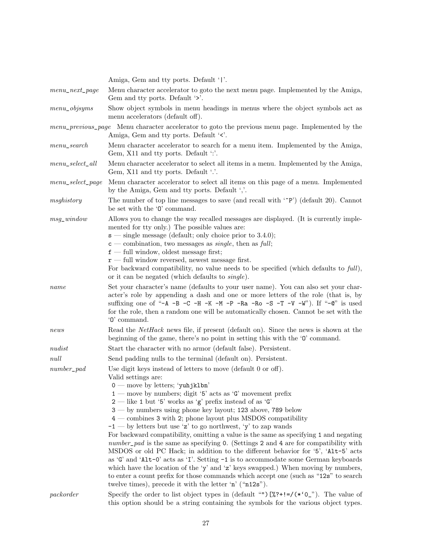|                      | Amiga, Gem and tty ports. Default ' '.                                                                                                                                                                                                                                                                                                                                                                                                                                                                                                                                                                                                                                                                                                                                                                                                                                                                                                                                                                                                                                      |
|----------------------|-----------------------------------------------------------------------------------------------------------------------------------------------------------------------------------------------------------------------------------------------------------------------------------------------------------------------------------------------------------------------------------------------------------------------------------------------------------------------------------------------------------------------------------------------------------------------------------------------------------------------------------------------------------------------------------------------------------------------------------------------------------------------------------------------------------------------------------------------------------------------------------------------------------------------------------------------------------------------------------------------------------------------------------------------------------------------------|
| $menu\_next\_page$   | Menu character accelerator to goto the next menu page. Implemented by the Amiga,<br>Gem and tty ports. Default '>'.                                                                                                                                                                                                                                                                                                                                                                                                                                                                                                                                                                                                                                                                                                                                                                                                                                                                                                                                                         |
| $menu\_objsyms$      | Show object symbols in menu headings in menus where the object symbols act as<br>menu accelerators (default off).                                                                                                                                                                                                                                                                                                                                                                                                                                                                                                                                                                                                                                                                                                                                                                                                                                                                                                                                                           |
|                      | menu_previous_page Menu character accelerator to goto the previous menu page. Implemented by the<br>Amiga, Gem and tty ports. Default '<'.                                                                                                                                                                                                                                                                                                                                                                                                                                                                                                                                                                                                                                                                                                                                                                                                                                                                                                                                  |
| menu_search          | Menu character accelerator to search for a menu item. Implemented by the Amiga,<br>Gem, X11 and tty ports. Default ":'.                                                                                                                                                                                                                                                                                                                                                                                                                                                                                                                                                                                                                                                                                                                                                                                                                                                                                                                                                     |
| $menu\_select\_all$  | Menu character accelerator to select all items in a menu. Implemented by the Amiga,<br>Gem, X11 and tty ports. Default '.'.                                                                                                                                                                                                                                                                                                                                                                                                                                                                                                                                                                                                                                                                                                                                                                                                                                                                                                                                                 |
| $menu\_select\_page$ | Menu character accelerator to select all items on this page of a menu. Implemented<br>by the Amiga, Gem and tty ports. Default ','.                                                                                                                                                                                                                                                                                                                                                                                                                                                                                                                                                                                                                                                                                                                                                                                                                                                                                                                                         |
| msghistory           | The number of top line messages to save (and recall with $\langle \text{P}^{\circ} \rangle$ ) (default 20). Cannot<br>be set with the '0' command.                                                                                                                                                                                                                                                                                                                                                                                                                                                                                                                                                                                                                                                                                                                                                                                                                                                                                                                          |
| $msg\_window$        | Allows you to change the way recalled messages are displayed. (It is currently imple-<br>mented for tty only.) The possible values are:<br>$s$ — single message (default; only choice prior to 3.4.0);<br>$\epsilon$ – combination, two messages as <i>single</i> , then as <i>full</i> ;<br>$f$ – full window, oldest message first;<br>$\mathbf{r}$ — full window reversed, newest message first.<br>For backward compatibility, no value needs to be specified (which defaults to full),                                                                                                                                                                                                                                                                                                                                                                                                                                                                                                                                                                                 |
| name                 | or it can be negated (which defaults to <i>single</i> ).<br>Set your character's name (defaults to your user name). You can also set your char-<br>acter's role by appending a dash and one or more letters of the role (that is, by<br>suffixing one of "-A -B -C -H -K -M -P -Ra -Ro -S -T -V -W"). If "-C" is used<br>for the role, then a random one will be automatically chosen. Cannot be set with the<br>$\theta$ command.                                                                                                                                                                                                                                                                                                                                                                                                                                                                                                                                                                                                                                          |
| news                 | Read the <i>NetHack</i> news file, if present (default on). Since the news is shown at the<br>beginning of the game, there's no point in setting this with the '0' command.                                                                                                                                                                                                                                                                                                                                                                                                                                                                                                                                                                                                                                                                                                                                                                                                                                                                                                 |
| nudist               | Start the character with no armor (default false). Persistent.                                                                                                                                                                                                                                                                                                                                                                                                                                                                                                                                                                                                                                                                                                                                                                                                                                                                                                                                                                                                              |
| null                 | Send padding nulls to the terminal (default on). Persistent.                                                                                                                                                                                                                                                                                                                                                                                                                                                                                                                                                                                                                                                                                                                                                                                                                                                                                                                                                                                                                |
| $number\_pad$        | Use digit keys instead of letters to move (default 0 or off).<br>Valid settings are:<br>$0$ — move by letters; 'yuhjklbn'<br>$1$ — move by numbers; digit '5' acts as 'G' movement prefix<br>$2$ — like 1 but '5' works as 'g' prefix instead of as 'G'<br>3 — by numbers using phone key layout; 123 above, 789 below<br>$4$ – combines 3 with 2; phone layout plus MSDOS compatibility<br>$-1$ — by letters but use 'z' to go northwest, 'y' to zap wands<br>For backward compatibility, omitting a value is the same as specifying 1 and negating<br>number_pad is the same as specifying 0. (Settings 2 and 4 are for compatibility with<br>MSDOS or old PC Hack; in addition to the different behavior for '5', 'Alt-5' acts<br>as 'G' and 'Alt-0' acts as 'I'. Setting $-1$ is to accommodate some German keyboards<br>which have the location of the 'y' and 'z' keys swapped.) When moving by numbers,<br>to enter a count prefix for those commands which accept one (such as "12s" to search<br>twelve times), precede it with the letter $\hat{n}$ (" $n12s$ "). |
| packet               | Specify the order to list object types in (default "") $[\%7 + ! = / (*'0]$ "). The value of<br>this option should be a string containing the symbols for the various object types.                                                                                                                                                                                                                                                                                                                                                                                                                                                                                                                                                                                                                                                                                                                                                                                                                                                                                         |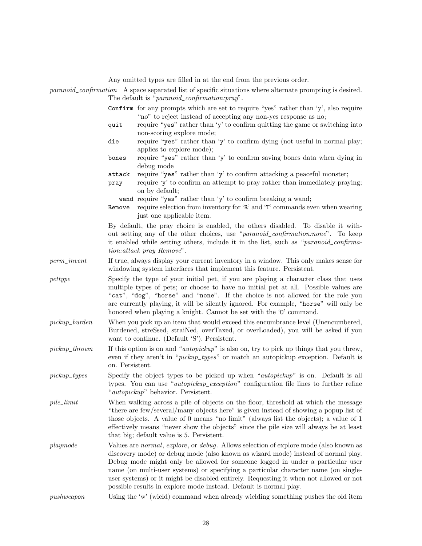|                  |                                                                                                                                                                                                                                                                                                                                                                                                                                                                                                                                  | Any omitted types are filled in at the end from the previous order.                                                                                                                                                                                                                       |
|------------------|----------------------------------------------------------------------------------------------------------------------------------------------------------------------------------------------------------------------------------------------------------------------------------------------------------------------------------------------------------------------------------------------------------------------------------------------------------------------------------------------------------------------------------|-------------------------------------------------------------------------------------------------------------------------------------------------------------------------------------------------------------------------------------------------------------------------------------------|
|                  |                                                                                                                                                                                                                                                                                                                                                                                                                                                                                                                                  | paranoid_confirmation A space separated list of specific situations where alternate prompting is desired.<br>The default is " <i>paranoid_confirmation:pray</i> ".                                                                                                                        |
|                  |                                                                                                                                                                                                                                                                                                                                                                                                                                                                                                                                  | Confirm for any prompts which are set to require "yes" rather than 'y', also require<br>"no" to reject instead of accepting any non-yes response as no;                                                                                                                                   |
|                  | quit                                                                                                                                                                                                                                                                                                                                                                                                                                                                                                                             | require "yes" rather than 'y' to confirm quitting the game or switching into<br>non-scoring explore mode;                                                                                                                                                                                 |
|                  | die                                                                                                                                                                                                                                                                                                                                                                                                                                                                                                                              | require "yes" rather than 'y' to confirm dying (not useful in normal play;<br>applies to explore mode);                                                                                                                                                                                   |
|                  | bones                                                                                                                                                                                                                                                                                                                                                                                                                                                                                                                            | require "yes" rather than 'y' to confirm saving bones data when dying in<br>debug mode                                                                                                                                                                                                    |
|                  | attack<br>pray                                                                                                                                                                                                                                                                                                                                                                                                                                                                                                                   | require "yes" rather than 'y' to confirm attacking a peaceful monster;<br>require 'y' to confirm an attempt to pray rather than immediately praying;<br>on by default;                                                                                                                    |
|                  | Remove                                                                                                                                                                                                                                                                                                                                                                                                                                                                                                                           | wand require "yes" rather than 'y' to confirm breaking a wand;<br>require selection from inventory for 'R' and 'T' commands even when wearing<br>just one applicable item.                                                                                                                |
|                  |                                                                                                                                                                                                                                                                                                                                                                                                                                                                                                                                  | By default, the pray choice is enabled, the others disabled. To disable it with-<br>out setting any of the other choices, use "paranoid_confirmation:none". To keep<br>it enabled while setting others, include it in the list, such as "paranoid_confirma-<br>tion: attack pray Remove". |
| $perm\_invent$   |                                                                                                                                                                                                                                                                                                                                                                                                                                                                                                                                  | If true, always display your current inventory in a window. This only makes sense for<br>windowing system interfaces that implement this feature. Persistent.                                                                                                                             |
| pettype          | Specify the type of your initial pet, if you are playing a character class that uses<br>multiple types of pets; or choose to have no initial pet at all. Possible values are<br>"cat", "dog", "horse" and "none". If the choice is not allowed for the role you<br>are currently playing, it will be silently ignored. For example, "horse" will only be<br>honored when playing a knight. Cannot be set with the '0' command.                                                                                                   |                                                                                                                                                                                                                                                                                           |
| $pickup\_burden$ |                                                                                                                                                                                                                                                                                                                                                                                                                                                                                                                                  | When you pick up an item that would exceed this encumbrance level (Unencumbered,<br>Burdened, streSsed, straiNed, overTaxed, or overLoaded), you will be asked if you<br>want to continue. (Default 'S'). Persistent.                                                                     |
| $pickup\_thrown$ | on. Persistent.                                                                                                                                                                                                                                                                                                                                                                                                                                                                                                                  | If this option is on and " <i>autopickup</i> " is also on, try to pick up things that you threw,<br>even if they aren't in " <i>pickup_types</i> " or match an autopickup exception. Default is                                                                                           |
| $pickup\_types$  | Specify the object types to be picked up when " <i>autopickup</i> " is on. Default is all<br>types. You can use " <i>autopickup_exception</i> " configuration file lines to further refine<br>" <i>autopickup</i> " behavior. Persistent.                                                                                                                                                                                                                                                                                        |                                                                                                                                                                                                                                                                                           |
| $pile\_limit$    | When walking across a pile of objects on the floor, threshold at which the message<br>"there are few/several/many objects here" is given instead of showing a popup list of<br>those objects. A value of 0 means "no limit" (always list the objects); a value of 1<br>effectively means "never show the objects" since the pile size will always be at least<br>that big; default value is 5. Persistent.                                                                                                                       |                                                                                                                                                                                                                                                                                           |
| playmode         | Values are <i>normal</i> , explore, or <i>debug</i> . Allows selection of explore mode (also known as<br>discovery mode) or debug mode (also known as wizard mode) instead of normal play.<br>Debug mode might only be allowed for someone logged in under a particular user<br>name (on multi-user systems) or specifying a particular character name (on single-<br>user systems) or it might be disabled entirely. Requesting it when not allowed or not<br>possible results in explore mode instead. Default is normal play. |                                                                                                                                                                                                                                                                                           |
| push weapon      |                                                                                                                                                                                                                                                                                                                                                                                                                                                                                                                                  | Using the 'w' (wield) command when already wielding something pushes the old item                                                                                                                                                                                                         |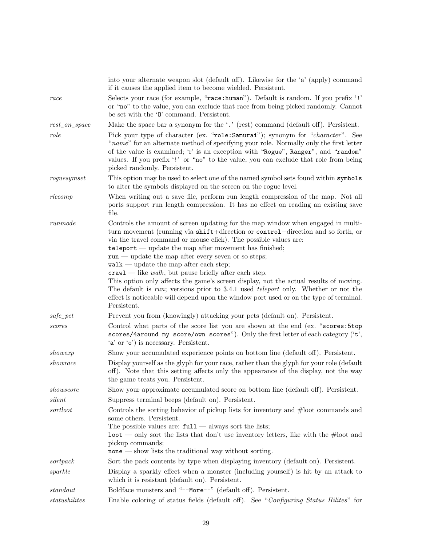|                   | into your alternate weapon slot (default off). Likewise for the 'a' (apply) command<br>if it causes the applied item to become wielded. Persistent.                                                                                                                                                                                                                                                                                                                                                                                                                                                                                                                                                                                                                    |
|-------------------|------------------------------------------------------------------------------------------------------------------------------------------------------------------------------------------------------------------------------------------------------------------------------------------------------------------------------------------------------------------------------------------------------------------------------------------------------------------------------------------------------------------------------------------------------------------------------------------------------------------------------------------------------------------------------------------------------------------------------------------------------------------------|
| race              | Selects your race (for example, "race:human"). Default is random. If you prefix '!'<br>or "no" to the value, you can exclude that race from being picked randomly. Cannot<br>be set with the '0' command. Persistent.                                                                                                                                                                                                                                                                                                                                                                                                                                                                                                                                                  |
| $rest\_on\_space$ | Make the space bar a synonym for the $\cdot$ .' (rest) command (default off). Persistent.                                                                                                                                                                                                                                                                                                                                                                                                                                                                                                                                                                                                                                                                              |
| role              | Pick your type of character (ex. "role: Samurai"); synonym for "character". See<br>"name" for an alternate method of specifying your role. Normally only the first letter<br>of the value is examined; 'r' is an exception with "Rogue", Ranger", and "random"<br>values. If you prefix '!' or "no" to the value, you can exclude that role from being<br>picked randomly. Persistent.                                                                                                                                                                                                                                                                                                                                                                                 |
| roguesymset       | This option may be used to select one of the named symbol sets found within symbols<br>to alter the symbols displayed on the screen on the rogue level.                                                                                                                                                                                                                                                                                                                                                                                                                                                                                                                                                                                                                |
| $r$ lecomp        | When writing out a save file, perform run length compression of the map. Not all<br>ports support run length compression. It has no effect on reading an existing save<br>file.                                                                                                                                                                                                                                                                                                                                                                                                                                                                                                                                                                                        |
| runmode           | Controls the amount of screen updating for the map window when engaged in multi-<br>turn movement (running via shift+direction or control+direction and so forth, or<br>via the travel command or mouse click). The possible values are:<br>$teleport$ - update the map after movement has finished;<br>$run$ — update the map after every seven or so steps;<br>$walk$ — update the map after each step;<br>$craw1$ — like walk, but pause briefly after each step.<br>This option only affects the game's screen display, not the actual results of moving.<br>The default is $run$ ; versions prior to 3.4.1 used <i>teleport</i> only. Whether or not the<br>effect is noticeable will depend upon the window port used or on the type of terminal.<br>Persistent. |
| $safe\_pet$       | Prevent you from (knowingly) attacking your pets (default on). Persistent.                                                                                                                                                                                                                                                                                                                                                                                                                                                                                                                                                                                                                                                                                             |
| scores            | Control what parts of the score list you are shown at the end (ex. "scores: 5top<br>scores/4around my score/own scores"). Only the first letter of each category ('t',<br>'a' or 'o') is necessary. Persistent.                                                                                                                                                                                                                                                                                                                                                                                                                                                                                                                                                        |
| showexp           | Show your accumulated experience points on bottom line (default off). Persistent.                                                                                                                                                                                                                                                                                                                                                                                                                                                                                                                                                                                                                                                                                      |
| showrace          | Display yourself as the glyph for your race, rather than the glyph for your role (default<br>off). Note that this setting affects only the appearance of the display, not the way<br>the game treats you. Persistent.                                                                                                                                                                                                                                                                                                                                                                                                                                                                                                                                                  |
| showscore         | Show your approximate accumulated score on bottom line (default off). Persistent.                                                                                                                                                                                                                                                                                                                                                                                                                                                                                                                                                                                                                                                                                      |
| silent            | Suppress terminal beeps (default on). Persistent.                                                                                                                                                                                                                                                                                                                                                                                                                                                                                                                                                                                                                                                                                                                      |
| sortloot          | Controls the sorting behavior of pickup lists for inventory and $\#$ loot commands and<br>some others. Persistent.<br>The possible values are: $\text{full}$ — always sort the lists;<br>$\lambda$ loot — only sort the lists that don't use inventory letters, like with the #loot and<br>pickup commands;<br>$none$ — show lists the traditional way without sorting.                                                                                                                                                                                                                                                                                                                                                                                                |
| sortpack          | Sort the pack contents by type when displaying inventory (default on). Persistent.                                                                                                                                                                                                                                                                                                                                                                                                                                                                                                                                                                                                                                                                                     |
| sparkle           | Display a sparkly effect when a monster (including yourself) is hit by an attack to<br>which it is resistant (default on). Persistent.                                                                                                                                                                                                                                                                                                                                                                                                                                                                                                                                                                                                                                 |
| standout          | Boldface monsters and "--More--" (default off). Persistent.                                                                                                                                                                                                                                                                                                                                                                                                                                                                                                                                                                                                                                                                                                            |
| $status hilites$  | Enable coloring of status fields (default off). See "Configuring Status Hilites" for                                                                                                                                                                                                                                                                                                                                                                                                                                                                                                                                                                                                                                                                                   |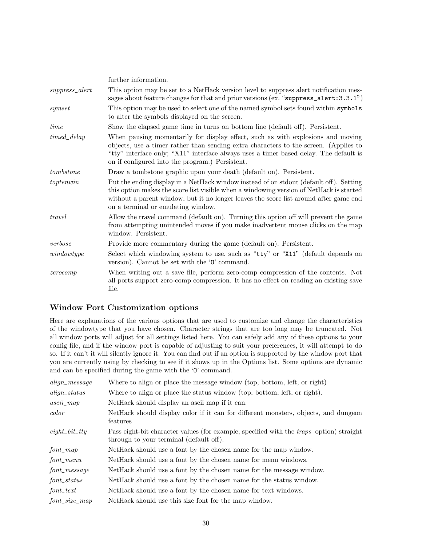|                   | further information.                                                                                                                                                                                                                                                                                                |
|-------------------|---------------------------------------------------------------------------------------------------------------------------------------------------------------------------------------------------------------------------------------------------------------------------------------------------------------------|
| $suppress\_alert$ | This option may be set to a NetHack version level to suppress a left notification mes-<br>sages about feature changes for that and prior versions (ex. "suppress_alert: 3.3.1")                                                                                                                                     |
| symset            | This option may be used to select one of the named symbol sets found within symbols<br>to alter the symbols displayed on the screen.                                                                                                                                                                                |
| time              | Show the elapsed game time in turns on bottom line (default off). Persistent.                                                                                                                                                                                                                                       |
| timed_delay       | When pausing momentarily for display effect, such as with explosions and moving<br>objects, use a timer rather than sending extra characters to the screen. (Applies to<br>"tty" interface only; "X11" interface always uses a timer based delay. The default is<br>on if configured into the program.) Persistent. |
| tombstone         | Draw a tombstone graphic upon your death (default on). Persistent.                                                                                                                                                                                                                                                  |
| to ptenwin        | Put the ending display in a NetHack window instead of on stdout (default off). Setting<br>this option makes the score list visible when a windowing version of NetHack is started<br>without a parent window, but it no longer leaves the score list around after game end<br>on a terminal or emulating window.    |
| travel            | Allow the travel command (default on). Turning this option off will prevent the game<br>from attempting unintended moves if you make inadvertent mouse clicks on the map<br>window. Persistent.                                                                                                                     |
| verbose           | Provide more commentary during the game (default on). Persistent.                                                                                                                                                                                                                                                   |
| windowtype        | Select which windowing system to use, such as "tty" or "X11" (default depends on<br>version). Cannot be set with the '0' command.                                                                                                                                                                                   |
| zerocomp          | When writing out a save file, perform zero-comp compression of the contents. Not<br>all ports support zero-comp compression. It has no effect on reading an existing save<br>file.                                                                                                                                  |

## Window Port Customization options

Here are explanations of the various options that are used to customize and change the characteristics of the windowtype that you have chosen. Character strings that are too long may be truncated. Not all window ports will adjust for all settings listed here. You can safely add any of these options to your config file, and if the window port is capable of adjusting to suit your preferences, it will attempt to do so. If it can't it will silently ignore it. You can find out if an option is supported by the window port that you are currently using by checking to see if it shows up in the Options list. Some options are dynamic and can be specified during the game with the 'O' command.

| $align\_message$       | Where to align or place the message window (top, bottom, left, or right)                                                                  |
|------------------------|-------------------------------------------------------------------------------------------------------------------------------------------|
| $align\_status$        | Where to align or place the status window (top, bottom, left, or right).                                                                  |
| $ascii\_map$           | NetHack should display an ascii map if it can.                                                                                            |
| color                  | NetHack should display color if it can for different monsters, objects, and dungeon<br>features                                           |
| $eight\_bit\_tty$      | Pass eight-bit character values (for example, specified with the <i>traps</i> option) straight<br>through to your terminal (default off). |
| $font\_map$            | NetHack should use a font by the chosen name for the map window.                                                                          |
| $font$ <sub>menu</sub> | NetHack should use a font by the chosen name for menu windows.                                                                            |
| font_message           | NetHack should use a font by the chosen name for the message window.                                                                      |
| $font\_status$         | NetHack should use a font by the chosen name for the status window.                                                                       |
| $font\_text$           | Net Hack should use a font by the chosen name for text windows.                                                                           |
| $font\_size\_map$      | NetHack should use this size font for the map window.                                                                                     |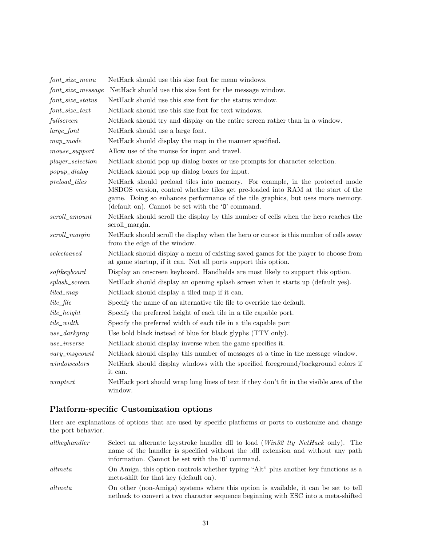| $font\_size\_menu$      | NetHack should use this size font for menu windows.                                                                                                                                                                                                                                                                |
|-------------------------|--------------------------------------------------------------------------------------------------------------------------------------------------------------------------------------------------------------------------------------------------------------------------------------------------------------------|
| $font\_size\_message$   | NetHack should use this size font for the message window.                                                                                                                                                                                                                                                          |
| $font\_size\_status$    | NetHack should use this size font for the status window.                                                                                                                                                                                                                                                           |
| $font\_size\_text$      | NetHack should use this size font for text windows.                                                                                                                                                                                                                                                                |
| fullscreen              | NetHack should try and display on the entire screen rather than in a window.                                                                                                                                                                                                                                       |
| $large\_font$           | NetHack should use a large font.                                                                                                                                                                                                                                                                                   |
| $map\_mode$             | NetHack should display the map in the manner specified.                                                                                                                                                                                                                                                            |
| $mouse\_support$        | Allow use of the mouse for input and travel.                                                                                                                                                                                                                                                                       |
| $player\_selection$     | NetHack should pop up dialog boxes or use prompts for character selection.                                                                                                                                                                                                                                         |
| $popup\_dialog$         | NetHack should pop up dialog boxes for input.                                                                                                                                                                                                                                                                      |
| $preload\_tiles$        | NetHack should preload tiles into memory. For example, in the protected mode<br>MSDOS version, control whether tiles get pre-loaded into RAM at the start of the<br>game. Doing so enhances performance of the tile graphics, but uses more memory.<br>(default on). Cannot be set with the $\mathcal O'$ command. |
| $\small scroll\_amount$ | NetHack should scroll the display by this number of cells when the hero reaches the<br>scroll_margin.                                                                                                                                                                                                              |
| $scroll\_margin$        | NetHack should scroll the display when the hero or cursor is this number of cells away<br>from the edge of the window.                                                                                                                                                                                             |
| select saved            | NetHack should display a menu of existing saved games for the player to choose from<br>at game startup, if it can. Not all ports support this option.                                                                                                                                                              |
| softkeyboard            | Display an onscreen keyboard. Handhelds are most likely to support this option.                                                                                                                                                                                                                                    |
| $splash\_screen$        | NetHack should display an opening splash screen when it starts up (default yes).                                                                                                                                                                                                                                   |
| $tiled\_map$            | NetHack should display a tiled map if it can.                                                                                                                                                                                                                                                                      |
| $tile$ <sub>-file</sub> | Specify the name of an alternative tile file to override the default.                                                                                                                                                                                                                                              |
| $tile\_height$          | Specify the preferred height of each tile in a tile capable port.                                                                                                                                                                                                                                                  |
| $tile\_width$           | Specify the preferred width of each tile in a tile capable port                                                                                                                                                                                                                                                    |
| $use\_darkgray$         | Use bold black instead of blue for black glyphs (TTY only).                                                                                                                                                                                                                                                        |
| $use\_inverse$          | NetHack should display inverse when the game specifies it.                                                                                                                                                                                                                                                         |
| $vary\_msgcount$        | NetHack should display this number of messages at a time in the message window.                                                                                                                                                                                                                                    |
| windowcolors            | NetHack should display windows with the specified foreground/background colors if<br>it can.                                                                                                                                                                                                                       |
| $wsqrt$                 | NetHack port should wrap long lines of text if they don't fit in the visible area of the<br>window.                                                                                                                                                                                                                |

## Platform-specific Customization options

Here are explanations of options that are used by specific platforms or ports to customize and change the port behavior.

| altkeyhandler | Select an alternate keystroke handler dll to load (Win32 tty NetHack only). The<br>name of the handler is specified without the dll extension and without any path<br>information. Cannot be set with the '0' command. |
|---------------|------------------------------------------------------------------------------------------------------------------------------------------------------------------------------------------------------------------------|
| altmeta       | On Amiga, this option controls whether typing "Alt" plus another key functions as a<br>meta-shift for that key (default on).                                                                                           |
| altmeta       | On other (non-Amiga) systems where this option is available, it can be set to tell<br>nethack to convert a two character sequence beginning with ESC into a meta-shifted                                               |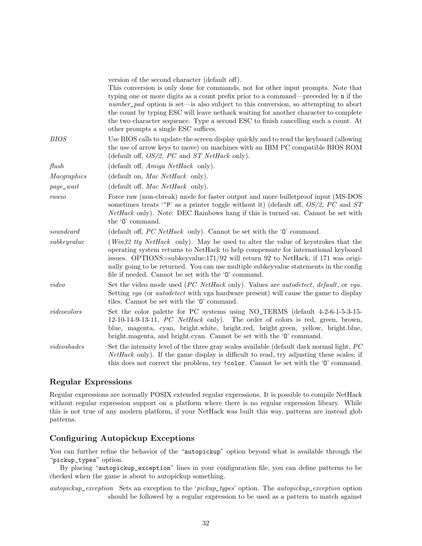|                 | version of the second character (default off).<br>This conversion is only done for commands, not for other input prompts. Note that<br>typing one or more digits as a count prefix prior to a command—preceded by n if the<br>number_pad option is set—is also subject to this conversion, so attempting to abort<br>the count by typing ESC will leave nethack waiting for another character to complete<br>the two character sequence. Type a second ESC to finish cancelling such a count. At<br>other prompts a single ESC suffices. |
|-----------------|------------------------------------------------------------------------------------------------------------------------------------------------------------------------------------------------------------------------------------------------------------------------------------------------------------------------------------------------------------------------------------------------------------------------------------------------------------------------------------------------------------------------------------------|
| <b>BIOS</b>     | Use BIOS calls to update the screen display quickly and to read the keyboard (allowing<br>the use of arrow keys to move) on machines with an IBM PC compatible BIOS ROM<br>(default off, $OS/2$ , PC and ST NetHack only).                                                                                                                                                                                                                                                                                                               |
| $\mathit{fush}$ | (default off, $Amiga$ NetHack only).                                                                                                                                                                                                                                                                                                                                                                                                                                                                                                     |
| Macgraphics     | (default on, <i>Mac NetHack</i> only).                                                                                                                                                                                                                                                                                                                                                                                                                                                                                                   |
| $page\_wait$    | (default off, Mac NetHack only).                                                                                                                                                                                                                                                                                                                                                                                                                                                                                                         |
| rawio           | Force raw (non-cbreak) mode for faster output and more bullet proof input (MS-DOS<br>sometimes treats ' $\hat{P}$ ' as a printer toggle without it) (default off, OS/2, PC and ST<br><i>NetHack</i> only). Note: DEC Rainbows hang if this is turned on. Cannot be set with<br>the '0' command.                                                                                                                                                                                                                                          |
| soundcard       | (default off, PC NetHack only). Cannot be set with the ' $0$ ' command.                                                                                                                                                                                                                                                                                                                                                                                                                                                                  |
| subkey value    | (Win32 tty NetHack only). May be used to alter the value of keystrokes that the<br>operating system returns to NetHack to help compensate for international keyboard<br>issues. OPTIONS=subkeyvalue: $171/92$ will return 92 to NetHack, if 171 was origi-<br>nally going to be returned. You can use multiple subkeyvalue statements in the config<br>file if needed. Cannot be set with the '0' command.                                                                                                                               |
| video           | Set the video mode used (PC NetHack only). Values are autodetect, default, or vga.<br>Setting vga (or <i>autodetect</i> with vga hardware present) will cause the game to display<br>tiles. Cannot be set with the '0' command.                                                                                                                                                                                                                                                                                                          |
| video colors    | Set the color palette for PC systems using NO_TERMS (default 4-2-6-1-5-3-15-<br>$12-10-14-9-13-11$ , <i>PC NetHack</i> only). The order of colors is red, green, brown,<br>blue, magenta, cyan, bright.white, bright.red, bright.green, yellow, bright.blue,<br>bright.magenta, and bright.cyan. Cannot be set with the '0' command.                                                                                                                                                                                                     |
| video shades    | Set the intensity level of the three gray scales available (default dark normal light, PC<br><i>NetHack</i> only). If the game display is difficult to read, try adjusting these scales; if<br>this does not correct the problem, try ! color. Cannot be set with the '0' command.                                                                                                                                                                                                                                                       |

### Regular Expressions

Regular expressions are normally POSIX extended regular expressions. It is possible to compile NetHack without regular expression support on a platform where there is no regular expression library. While this is not true of any modern platform, if your NetHack was built this way, patterns are instead glob patterns.

## Configuring Autopickup Exceptions

You can further refine the behavior of the "autopickup" option beyond what is available through the "pickup\_types" option.

By placing "autopickup\_exception" lines in your configuration file, you can define patterns to be checked when the game is about to autopickup something.

autopickup\_exception Sets an exception to the 'pickup\_types' option. The autopickup\_exception option should be followed by a regular expression to be used as a pattern to match against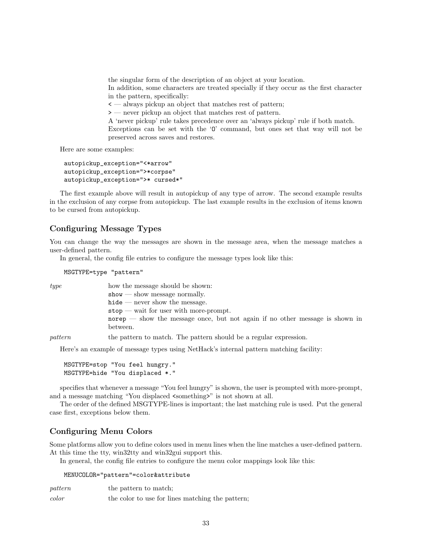the singular form of the description of an object at your location.

In addition, some characters are treated specially if they occur as the first character in the pattern, specifically:

< — always pickup an object that matches rest of pattern;

> — never pickup an object that matches rest of pattern.

A 'never pickup' rule takes precedence over an 'always pickup' rule if both match. Exceptions can be set with the 'O' command, but ones set that way will not be preserved across saves and restores.

Here are some examples:

```
autopickup_exception="<*arrow"
autopickup_exception=">*corpse"
autopickup_exception=">* cursed*"
```
The first example above will result in autopickup of any type of arrow. The second example results in the exclusion of any corpse from autopickup. The last example results in the exclusion of items known to be cursed from autopickup.

### Configuring Message Types

You can change the way the messages are shown in the message area, when the message matches a user-defined pattern.

In general, the config file entries to configure the message types look like this:

MSGTYPE=type "pattern"

| type | how the message should be shown:                                             |
|------|------------------------------------------------------------------------------|
|      | $\text{show}$ — show message normally.                                       |
|      | $hide$ — never show the message.                                             |
|      | $stop$ — wait for user with more-prompt.                                     |
|      | norep — show the message once, but not again if no other message is shown in |
|      | between.                                                                     |
|      |                                                                              |

pattern to match. The pattern should be a regular expression.

Here's an example of message types using NetHack's internal pattern matching facility:

```
MSGTYPE=stop "You feel hungry."
MSGTYPE=hide "You displaced *."
```
specifies that whenever a message "You feel hungry" is shown, the user is prompted with more-prompt, and a message matching "You displaced  $\leq$  something  $\geq$ " is not shown at all.

The order of the defined MSGTYPE-lines is important; the last matching rule is used. Put the general case first, exceptions below them.

## Configuring Menu Colors

Some platforms allow you to define colors used in menu lines when the line matches a user-defined pattern. At this time the tty, win32tty and win32gui support this.

In general, the config file entries to configure the menu color mappings look like this:

MENUCOLOR="pattern"=color&attribute

| pattern | the pattern to match;                            |
|---------|--------------------------------------------------|
| color   | the color to use for lines matching the pattern; |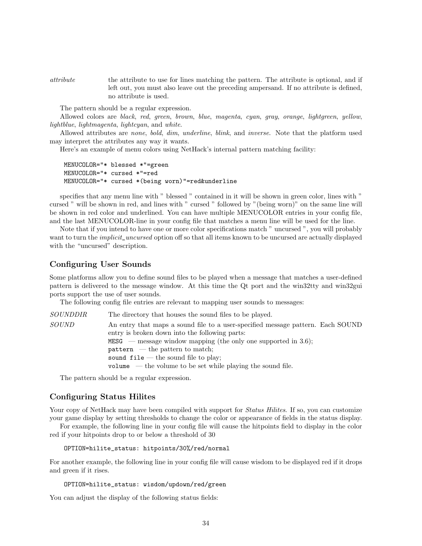attribute the attribute to use for lines matching the pattern. The attribute is optional, and if left out, you must also leave out the preceding ampersand. If no attribute is defined, no attribute is used.

The pattern should be a regular expression.

Allowed colors are black, red, green, brown, blue, magenta, cyan, gray, orange, lightgreen, yellow, lightblue, lightmagenta, lightcyan, and white.

Allowed attributes are none, bold, dim, underline, blink, and inverse. Note that the platform used may interpret the attributes any way it wants.

Here's an example of menu colors using NetHack's internal pattern matching facility:

```
MENUCOLOR="* blessed *"=green
MENUCOLOR="* cursed *"=red
MENUCOLOR="* cursed *(being worn)"=red&underline
```
specifies that any menu line with " blessed " contained in it will be shown in green color, lines with " cursed " will be shown in red, and lines with " cursed " followed by "(being worn)" on the same line will be shown in red color and underlined. You can have multiple MENUCOLOR entries in your config file, and the last MENUCOLOR-line in your config file that matches a menu line will be used for the line.

Note that if you intend to have one or more color specifications match " uncursed ", you will probably want to turn the *implicit\_uncursed* option off so that all items known to be uncursed are actually displayed with the "uncursed" description.

#### Configuring User Sounds

Some platforms allow you to define sound files to be played when a message that matches a user-defined pattern is delivered to the message window. At this time the Qt port and the win32tty and win32gui ports support the use of user sounds.

The following config file entries are relevant to mapping user sounds to messages:

| SOUNDDIR | The directory that houses the sound files to be played.                         |
|----------|---------------------------------------------------------------------------------|
| SOUND    | An entry that maps a sound file to a user-specified message pattern. Each SOUND |
|          | entry is broken down into the following parts:                                  |
|          | MESG — message window mapping (the only one supported in 3.6);                  |
|          | $\mathbf{pattern}$ — the pattern to match;                                      |
|          | sound $file$ — the sound file to play;                                          |
|          | volume $-$ the volume to be set while playing the sound file.                   |

The pattern should be a regular expression.

#### Configuring Status Hilites

Your copy of NetHack may have been compiled with support for *Status Hilites*. If so, you can customize your game display by setting thresholds to change the color or appearance of fields in the status display.

For example, the following line in your config file will cause the hitpoints field to display in the color red if your hitpoints drop to or below a threshold of 30

```
OPTION=hilite_status: hitpoints/30%/red/normal
```
For another example, the following line in your config file will cause wisdom to be displayed red if it drops and green if it rises.

```
OPTION=hilite_status: wisdom/updown/red/green
```
You can adjust the display of the following status fields: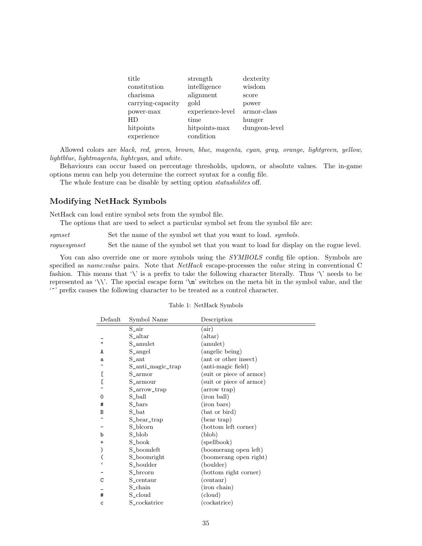| title             | strength         | dexterity     |
|-------------------|------------------|---------------|
| constitution      | intelligence     | wisdom        |
| charisma          | alignment        | score         |
| carrying-capacity | gold             | power         |
| power-max         | experience-level | armor-class   |
| HD                | time             | hunger        |
| hitpoints         | hitpoints-max    | dungeon-level |
| experience        | condition        |               |

Allowed colors are black, red, green, brown, blue, magenta, cyan, gray, orange, lightgreen, yellow, lightblue, lightmagenta, lightcyan, and white.

Behaviours can occur based on percentage thresholds, updown, or absolute values. The in-game options menu can help you determine the correct syntax for a config file.

The whole feature can be disable by setting option *statushilites* off.

### Modifying NetHack Symbols

NetHack can load entire symbol sets from the symbol file.

The options that are used to select a particular symbol set from the symbol file are:

 $synset \hspace{1.6cm} \textbf{Set the name of the symbol set that you want to load. } symbols.$ 

roguesymset Set the name of the symbol set that you want to load for display on the rogue level.

You can also override one or more symbols using the SYMBOLS config file option. Symbols are specified as *name:value* pairs. Note that *NetHack* escape-processes the *value* string in conventional C fashion. This means that '\' is a prefix to take the following character literally. Thus '\' needs to be represented as '\\'. The special escape form '\m' switches on the meta bit in the symbol value, and the  $\lq\lq\lq$  prefix causes the following character to be treated as a control character.

| Default      | Symbol Name       | Description              |
|--------------|-------------------|--------------------------|
|              | $S_$ air          | (air)                    |
|              | $S_{\rm -}$ altar | (altar)                  |
| $\mathbf{u}$ | S_amulet          | (amulet)                 |
| A            | S_angel           | (angelic being)          |
| a            | S_ant             | (ant or other insect)    |
|              | S_anti_magic_trap | (anti-magic field)       |
|              | S_armor           | (suit or piece of armor) |
|              | S_armour          | (suit or piece of armor) |
|              | S_arrow_trap      | arrow trap)              |
| 0            | S_ball            | (iron ball)              |
| #            | S_bars            | (iron bars)              |
| B            | S_bat             | (bat or bird)            |
|              | S_bear_trap       | (bear trap)              |
|              | S_blcorn          | (bottom left corner)     |
| b            | S_blob            | (blob)                   |
| $\ddot{}$    | S_book            | (spellbook)              |
|              | S_boomleft        | (boomerang open left)    |
|              | S_boomright       | (boomerang open right)   |
|              | S_boulder         | (boulder)                |
|              | S_brcorn          | (bottom right corner)    |
| C            | S_centaur         | (centaur)                |
|              | S_chain           | (iron chain)             |
| #            | S_cloud           | (cloud)                  |
| c            | S_cockatrice      | cockatrice)              |

#### Table 1: NetHack Symbols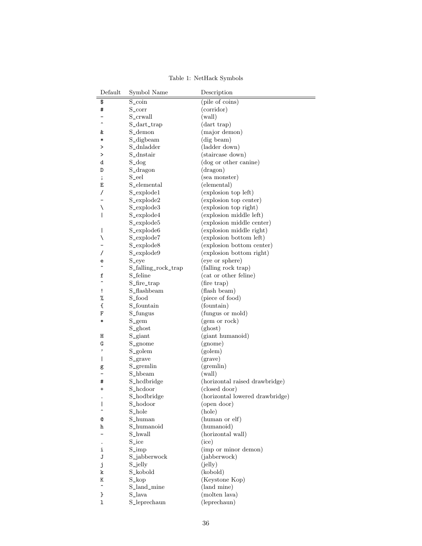| Default      | Symbol Name         | Description                     |
|--------------|---------------------|---------------------------------|
| \$           | $S_{\rm -coin}$     | (pile of coins)                 |
| #            | $S_{\rm -corr}$     | (corridor)                      |
|              | S_crwall            | (wall)                          |
|              | S_dart_trap         | (dart trap)                     |
| &            | S_demon             | (major demon)                   |
| *            | S_digbeam           | (dig beam)                      |
| ⋗            | S_dnladder          | (ladder down)                   |
| >            | S_dnstair           | (staircase down)                |
| d            | $S_d$ dog           | (dog or other canine)           |
| D            | S_dragon            | (dragon)                        |
| ;            | S_eel               | (sea monster)                   |
| Ε            | S_elemental         | (elemental)                     |
| 7            | S_explode1          | (explosion top left)            |
|              | S_explode2          | (explosion top center)          |
| ∖            | S_explode3          | (explosion top right)           |
| I            | S_explode4          | (explosion middle left)         |
|              | S_explode5          | (explosion middle center)       |
| $\mathsf{l}$ | S_explode6          | (explosion middle right)        |
| ∖            | S_explode7          | (explosion bottom left)         |
|              | S_explode8          | (explosion bottom center)       |
| 7            | S_explode9          | (explosion bottom right)        |
| е            | S_eye               | (eye or sphere)                 |
|              | S_falling_rock_trap | (falling rock trap)             |
| f            | S_feline            | (cat or other feline)           |
|              | S_fire_trap         | (fire trap)                     |
| Ţ            | S_flashbeam         | (flash beam)                    |
| %            | S_food              | (piece of food)                 |
| €            | S_fountain          | (fountain)                      |
| F            | S_fungus            | (fungus or mold)                |
| ∗            | $S_{gem}$           | (gem or rock)                   |
|              | S_ghost             | (ghost)                         |
| Η            | S_giant             | (giant humanoid)                |
| G            | S_gnome             | (gnome)                         |
| ,            | S_golem             | (golem)                         |
| I            | S_grave             | (grave)                         |
| g            | $S_{\text{-}graph}$ | (gremlin)                       |
|              | S_hbeam             | (wall)                          |
| #            | S_hcdbridge         | (horizontal raised drawbridge)  |
| +            | S_hcdoor            | (closed door)                   |
|              | S_hodbridge         | (horizontal lowered drawbridge) |
| I            | S_hodoor            | (open door)                     |
|              | S_hole              | (hole)                          |
| Q            | S_human             | (human or elf)                  |
| h            | S_humanoid          | (humanoid)                      |
|              | S_hwall             | (horizontal wall)               |
|              | S_ice               | (ice)                           |
| i            | $S_{\text{-imp}}$   | (imp or minor demon)            |
| J            | S_jabberwock        | (jabberwock)                    |
| j            | S_jelly             | (ielly)                         |
| k            | S_kobold            | (kobold)                        |
| Κ            | $S_{\text{-}kop}$   | (Keystone Kop)                  |
| ÷            | S_land_mine         | (land mine)                     |
| }            | S_lava              | (molten lava)                   |
| 1            | S_leprechaun        | (leprechaun)                    |

Table 1: NetHack Symbols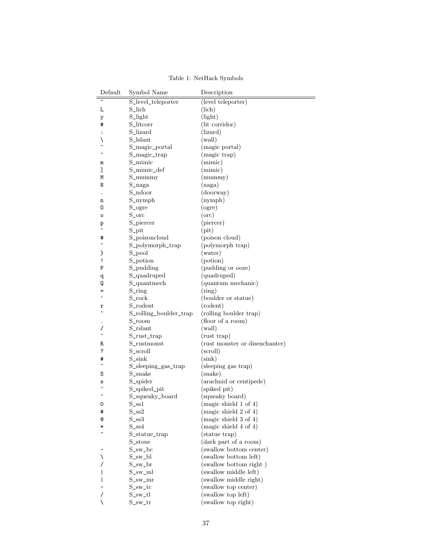| Default        | Symbol Name            | Description                    |
|----------------|------------------------|--------------------------------|
| $\lambda$      | S_level_teleporter     | (level teleporter)             |
| L              | S_lich                 | (lich)                         |
| у              | S_light                | (light)                        |
| #              | S_litcorr              | (lit corridor)                 |
| $\ddot{\cdot}$ | S_lizard               | (lizard)                       |
| ∖              | S_lslant               | (wall)                         |
|                | S_magic_portal         | (magic portal)                 |
|                | S_magic_trap           | (magic trap)                   |
| m              | S_mimic                | (min)                          |
| J              | S_mimic_def            | (mimic)                        |
| Μ              | $S_{\text{-}mump}$     | (mummy)                        |
| N              | $S$ _naga              | (naga)                         |
|                | S_ndoor                | (doorway)                      |
| n              | $S_nymph$              | (nymph)                        |
| 0              | S_ogre                 | (ogre)                         |
| о              | S_orc                  | $($ orc $)$                    |
|                | S_piercer              | (piercer)                      |
| p              |                        | $(\text{pit})$                 |
|                | $S_{\text{-}pit}$      |                                |
| #<br>∽         | S_poisoncloud          | (poison cloud)                 |
|                | S_polymorph_trap       | (polymorph trap)               |
| }              | S_pool                 | (water)                        |
| ï              | S_potion               | (potion)                       |
| Ρ              | S_pudding              | (pudding or ooze)              |
| q              | S_quadruped            | (quadruped)                    |
| Q              | S_quantmech            | (quantum mechanic)             |
| $\epsilon$     | S_ring                 | (ring)                         |
|                | S_rock                 | (boulder or statue)            |
| r              | S_rodent               | (rodent)                       |
|                | S_rolling_boulder_trap | (rolling boulder trap)         |
|                | S_room                 | (floor of a room)              |
| 7              | S_rslant               | (wall)                         |
|                | $S_$ rust_trap         | (rust trap)                    |
| R              | S_rustmonst            | (rust monster or disenchanter) |
| ?              | S_scroll               | (scroll)                       |
| #              | $S\_sink$              | $(\sin k)$                     |
|                | S_sleeping_gas_trap    | (sleeping gas trap)            |
| S              | S_snake                | (snake)                        |
| S              | S_spider               | (arachnid or centipede)        |
|                | S_spiked_pit           | (spiked pit)                   |
| ∽              | S_squeaky_board        | (squeaky board)                |
| 0              | $S$ _ss $1$            | (magic shield $1$ of $4$ )     |
| #              | $S$ _ss2               | (magic shield 2 of 4)          |
| Q              | $S$ _ss $3$            | (magic shield $3$ of $4$ )     |
| ∗              | $S$ <sub>SS4</sub>     | (magic shield 4 of 4)          |
|                | S_statue_trap          | (statue trap)                  |
|                | S_stone                | (dark part of a room)          |
|                | S_sw_bc                | (swallow bottom center)        |
| ∖              | $S_{sw}$ _bl           | (swallow bottom left)          |
|                | $S_{sw\_br}$           | (swallow bottom right)         |
|                | $S_{\text{-sw\_ml}}$   | (swallow middle left)          |
|                | $S_{\text{-SW\_mr}}$   | (swallow middle right)         |
|                | $S_{\text{-sw\_tc}}$   | (swallow top center)           |
|                | $S_{sw_t}$ tl          | (swallow top left)             |
| ∖              | $S_{\text{-SW\_tr}}$   | (swallow top right)            |
|                |                        |                                |

Table 1: NetHack Symbols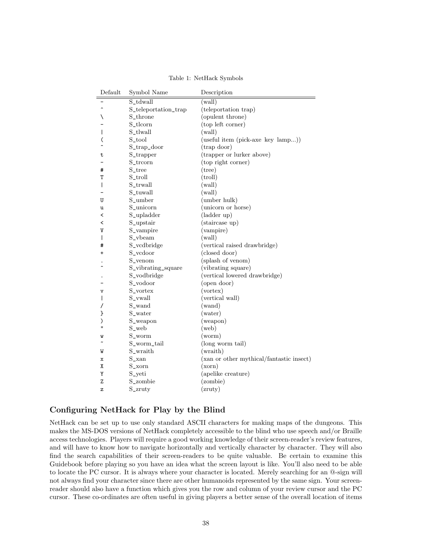| Default      | Symbol Name          | Description                              |
|--------------|----------------------|------------------------------------------|
|              | S_tdwall             | (wall)                                   |
|              | S_teleportation_trap | (teleportation trap)                     |
|              | S_throne             | (opulent throne)                         |
|              | S_tlcorn             | (top left corner)                        |
|              | S_tlwall             | (wall)                                   |
|              | S_tool               | (useful item (pick-axe key lamp))        |
|              | S_trap_door          | (trap door)                              |
| t            | S_trapper            | (trapper or lurker above)                |
|              | S_trcorn             | (top right corner)                       |
| #            | S_tree               | $(\text{tree})$                          |
| T            | S_troll              | $(\text{troll})$                         |
| I            | S_trwall             | (wall)                                   |
|              | S_tuwall             | (wall)                                   |
| U            | S_umber              | (umber hulk)                             |
| u            | S_unicorn            | (unicorn or horse)                       |
| <            | S_upladder           | (ladder up)                              |
| <            | S_upstair            | (staircase up)                           |
| V            | S_vampire            | (vampire)                                |
| I            | S_vbeam              | (wall)                                   |
| #            | S_vcdbridge          | (vertical raised drawbridge)             |
| +            | S_vcdoor             | (closed door)                            |
|              | S_venom              | (splash of venom)                        |
|              | S_vibrating_square   | (vibrating square)                       |
|              | S_vodbridge          | (vertical lowered drawbridge)            |
|              | S_vodoor             | (open door)                              |
| $\mathbf v$  | S_vortex             | (vortex)                                 |
|              | S_vwall              | (vertical wall)                          |
|              | S_wand               | (wand)                                   |
| ł            | S_water              | (water)                                  |
| ⟩            | S_weapon             | (weapon)                                 |
| $\mathbf{u}$ | S_web                | $(\text{web})$                           |
| W            | S_worm               | (worm)                                   |
|              | S_worm_tail          | (long worm tail)                         |
| W            | S_wraith             | (wraith)                                 |
| х            | $S_{xan}$            | (xan or other mythical/fantastic insect) |
| χ            | S_xorn               | (xorn)                                   |
| Υ            | S_yeti               | (apelike creature)                       |
| Z            | S_zombie             | (zombie)                                 |
| z            | S_zruty              | (zruty)                                  |

Table 1: NetHack Symbols

### Configuring NetHack for Play by the Blind

NetHack can be set up to use only standard ASCII characters for making maps of the dungeons. This makes the MS-DOS versions of NetHack completely accessible to the blind who use speech and/or Braille access technologies. Players will require a good working knowledge of their screen-reader's review features, and will have to know how to navigate horizontally and vertically character by character. They will also find the search capabilities of their screen-readers to be quite valuable. Be certain to examine this Guidebook before playing so you have an idea what the screen layout is like. You'll also need to be able to locate the PC cursor. It is always where your character is located. Merely searching for an @-sign will not always find your character since there are other humanoids represented by the same sign. Your screenreader should also have a function which gives you the row and column of your review cursor and the PC cursor. These co-ordinates are often useful in giving players a better sense of the overall location of items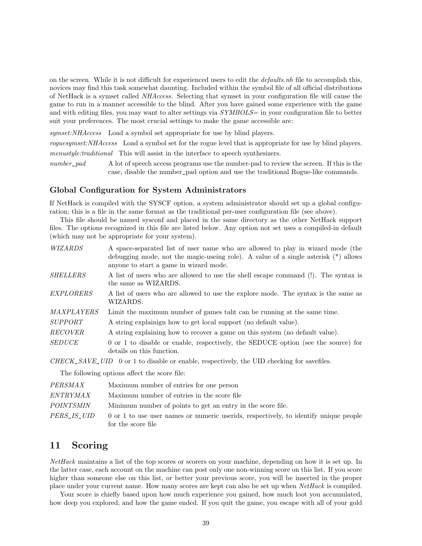on the screen. While it is not difficult for experienced users to edit the defaults.nh file to accomplish this, novices may find this task somewhat daunting. Included within the symbol file of all official distributions of NetHack is a symset called NHAccess. Selecting that symset in your configuration file will cause the game to run in a manner accessible to the blind. After you have gained some experience with the game and with editing files, you may want to alter settings via SYMBOLS= in your configuration file to better suit your preferences. The most crucial settings to make the game accessible are:

symset:NHAccess Load a symbol set appropriate for use by blind players.

roguesymset:NHAccess Load a symbol set for the rogue level that is appropriate for use by blind players. menustyle:traditional This will assist in the interface to speech synthesizers.

number\_pad A lot of speech access programs use the number-pad to review the screen. If this is the case, disable the number\_pad option and use the traditional Rogue-like commands.

#### Global Configuration for System Administrators

If NetHack is compiled with the SYSCF option, a system administrator should set up a global configuration; this is a file in the same format as the traditional per-user configuration file (see above).

This file should be named sysconf and placed in the same directory as the other NetHack support files. The options recognized in this file are listed below. Any option not set uses a compiled-in default (which may not be appropriate for your system).

| WIZARDS         | A space-separated list of user name who are allowed to play in wizard mode (the<br>debugging mode, not the magic-useing role). A value of a single asterisk $(*)$ allows<br>anyone to start a game in wizard mode. |
|-----------------|--------------------------------------------------------------------------------------------------------------------------------------------------------------------------------------------------------------------|
| <b>SHELLERS</b> | A list of users who are allowed to use the shell escape command (!). The syntax is<br>the same as WIZARDS.                                                                                                         |
| EXPLORERS       | A list of users who are allowed to use the explore mode. The syntax is the same as<br>WIZARDS.                                                                                                                     |
| MAXPLAYERS      | Limit the maximum number of games taht can be running at the same time.                                                                                                                                            |
| <i>SUPPORT</i>  | A string explaining how to get local support (no default value).                                                                                                                                                   |
| <i>RECOVER</i>  | A string explaining how to recover a game on this system (no default value).                                                                                                                                       |
| <b>SEDUCE</b>   | $0$ or $1$ to disable or enable, respectively, the SEDUCE option (see the source) for<br>details on this function.                                                                                                 |

 $CHECK\_SAVE\_UID$  0 or 1 to disable or enable, respectively, the UID checking for savefiles.

The following options affect the score file:

| <i>PERSMAX</i>     | Maximum number of entries for one person                                                                   |
|--------------------|------------------------------------------------------------------------------------------------------------|
| ENTRYMAX           | Maximum number of entries in the score file                                                                |
| POINTSMIN          | Minimum number of points to get an entry in the score file.                                                |
| <i>PERS IS UID</i> | 0 or 1 to use user names or numeric userids, respectively, to identify unique people<br>for the score file |

## 11 Scoring

NetHack maintains a list of the top scores or scorers on your machine, depending on how it is set up. In the latter case, each account on the machine can post only one non-winning score on this list. If you score higher than someone else on this list, or better your previous score, you will be inserted in the proper place under your current name. How many scores are kept can also be set up when NetHack is compiled.

Your score is chiefly based upon how much experience you gained, how much loot you accumulated, how deep you explored, and how the game ended. If you quit the game, you escape with all of your gold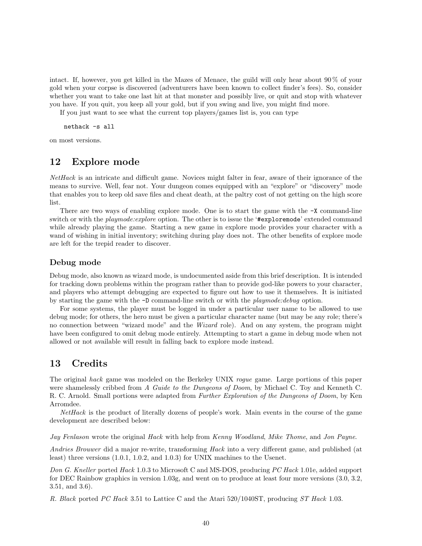intact. If, however, you get killed in the Mazes of Menace, the guild will only hear about 90 % of your gold when your corpse is discovered (adventurers have been known to collect finder's fees). So, consider whether you want to take one last hit at that monster and possibly live, or quit and stop with whatever you have. If you quit, you keep all your gold, but if you swing and live, you might find more.

If you just want to see what the current top players/games list is, you can type

nethack -s all

on most versions.

## 12 Explore mode

NetHack is an intricate and difficult game. Novices might falter in fear, aware of their ignorance of the means to survive. Well, fear not. Your dungeon comes equipped with an "explore" or "discovery" mode that enables you to keep old save files and cheat death, at the paltry cost of not getting on the high score list.

There are two ways of enabling explore mode. One is to start the game with the  $-X$  command-line switch or with the *playmode: explore* option. The other is to issue the '#exploremode' extended command while already playing the game. Starting a new game in explore mode provides your character with a wand of wishing in initial inventory; switching during play does not. The other benefits of explore mode are left for the trepid reader to discover.

#### Debug mode

Debug mode, also known as wizard mode, is undocumented aside from this brief description. It is intended for tracking down problems within the program rather than to provide god-like powers to your character, and players who attempt debugging are expected to figure out how to use it themselves. It is initiated by starting the game with the  $-D$  command-line switch or with the *playmode:debug* option.

For some systems, the player must be logged in under a particular user name to be allowed to use debug mode; for others, the hero must be given a particular character name (but may be any role; there's no connection between "wizard mode" and the Wizard role). And on any system, the program might have been configured to omit debug mode entirely. Attempting to start a game in debug mode when not allowed or not available will result in falling back to explore mode instead.

## 13 Credits

The original hack game was modeled on the Berkeley UNIX rogue game. Large portions of this paper were shamelessly cribbed from A Guide to the Dungeons of Doom, by Michael C. Toy and Kenneth C. R. C. Arnold. Small portions were adapted from Further Exploration of the Dungeons of Doom, by Ken Arromdee.

NetHack is the product of literally dozens of people's work. Main events in the course of the game development are described below:

Jay Fenlason wrote the original Hack with help from Kenny Woodland, Mike Thome, and Jon Payne.

Andries Brouwer did a major re-write, transforming Hack into a very different game, and published (at least) three versions (1.0.1, 1.0.2, and 1.0.3) for UNIX machines to the Usenet.

Don G. Kneller ported Hack 1.0.3 to Microsoft C and MS-DOS, producing PC Hack 1.01e, added support for DEC Rainbow graphics in version 1.03g, and went on to produce at least four more versions (3.0, 3.2, 3.51, and 3.6).

R. Black ported PC Hack 3.51 to Lattice C and the Atari 520/1040ST, producing ST Hack 1.03.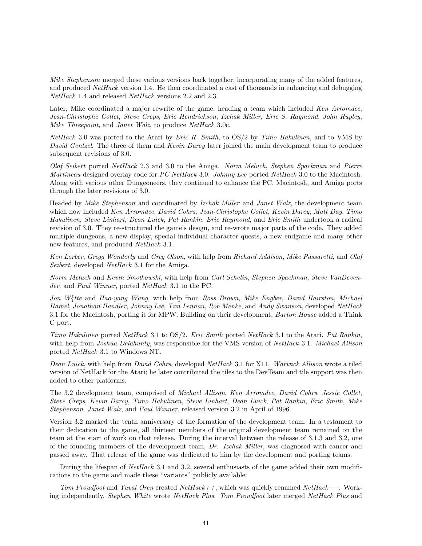Mike Stephenson merged these various versions back together, incorporating many of the added features, and produced NetHack version 1.4. He then coordinated a cast of thousands in enhancing and debugging NetHack 1.4 and released NetHack versions 2.2 and 2.3.

Later, Mike coordinated a major rewrite of the game, heading a team which included Ken Arromdee, Jean-Christophe Collet, Steve Creps, Eric Hendrickson, Izchak Miller, Eric S. Raymond, John Rupley, Mike Threepoint, and Janet Walz, to produce NetHack 3.0c.

 $NetHack$  3.0 was ported to the Atari by *Eric R. Smith*, to  $OS/2$  by *Timo Hakulinen*, and to VMS by David Gentzel. The three of them and Kevin Darcy later joined the main development team to produce subsequent revisions of 3.0.

Olaf Seibert ported NetHack 2.3 and 3.0 to the Amiga. Norm Meluch, Stephen Spackman and Pierre Martineau designed overlay code for PC NetHack 3.0. Johnny Lee ported NetHack 3.0 to the Macintosh. Along with various other Dungeoneers, they continued to enhance the PC, Macintosh, and Amiga ports through the later revisions of 3.0.

Headed by Mike Stephenson and coordinated by Izchak Miller and Janet Walz, the development team which now included Ken Arromdee, David Cohrs, Jean-Christophe Collet, Kevin Darcy, Matt Day, Timo Hakulinen, Steve Linhart, Dean Luick, Pat Rankin, Eric Raymond, and Eric Smith undertook a radical revision of 3.0. They re-structured the game's design, and re-wrote major parts of the code. They added multiple dungeons, a new display, special individual character quests, a new endgame and many other new features, and produced NetHack 3.1.

Ken Lorber, Gregg Wonderly and Greg Olson, with help from Richard Addison, Mike Passaretti, and Olaf Seibert, developed *NetHack* 3.1 for the Amiga.

Norm Meluch and Kevin Smolkowski, with help from Carl Schelin, Stephen Spackman, Steve VanDevender, and Paul Winner, ported NetHack 3.1 to the PC.

Jon W{tte and Hao-yang Wang, with help from Ross Brown, Mike Engber, David Hairston, Michael Hamel, Jonathan Handler, Johnny Lee, Tim Lennan, Rob Menke, and Andy Swanson, developed NetHack 3.1 for the Macintosh, porting it for MPW. Building on their development, Barton House added a Think C port.

Timo Hakulinen ported NetHack 3.1 to OS/2. Eric Smith ported NetHack 3.1 to the Atari. Pat Rankin, with help from *Joshua Delahunty*, was responsible for the VMS version of *NetHack* 3.1. *Michael Allison* ported NetHack 3.1 to Windows NT.

Dean Luick, with help from David Cohrs, developed NetHack 3.1 for X11. Warwick Allison wrote a tiled version of NetHack for the Atari; he later contributed the tiles to the DevTeam and tile support was then added to other platforms.

The 3.2 development team, comprised of Michael Allison, Ken Arromdee, David Cohrs, Jessie Collet, Steve Creps, Kevin Darcy, Timo Hakulinen, Steve Linhart, Dean Luick, Pat Rankin, Eric Smith, Mike Stephenson, Janet Walz, and Paul Winner, released version 3.2 in April of 1996.

Version 3.2 marked the tenth anniversary of the formation of the development team. In a testament to their dedication to the game, all thirteen members of the original development team remained on the team at the start of work on that release. During the interval between the release of 3.1.3 and 3.2, one of the founding members of the development team, Dr. Izchak Miller, was diagnosed with cancer and passed away. That release of the game was dedicated to him by the development and porting teams.

During the lifespan of *NetHack* 3.1 and 3.2, several enthusiasts of the game added their own modifications to the game and made these "variants" publicly available:

Tom Proudfoot and Yuval Oren created NetHack++, which was quickly renamed NetHack−−. Working independently, Stephen White wrote NetHack Plus. Tom Proudfoot later merged NetHack Plus and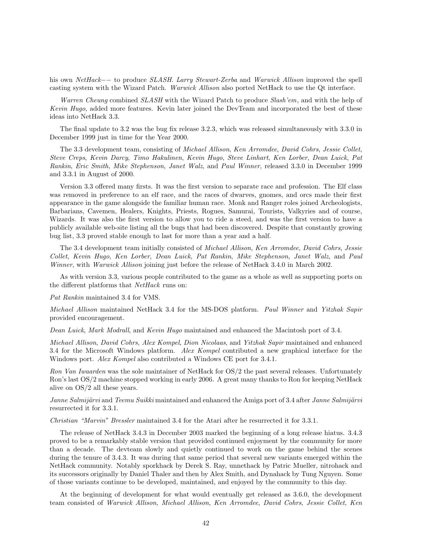his own NetHack−− to produce SLASH. Larry Stewart-Zerba and Warwick Allison improved the spell casting system with the Wizard Patch. Warwick Allison also ported NetHack to use the Qt interface.

Warren Cheung combined SLASH with the Wizard Patch to produce Slash'em, and with the help of Kevin Hugo, added more features. Kevin later joined the DevTeam and incorporated the best of these ideas into NetHack 3.3.

The final update to 3.2 was the bug fix release 3.2.3, which was released simultaneously with 3.3.0 in December 1999 just in time for the Year 2000.

The 3.3 development team, consisting of Michael Allison, Ken Arromdee, David Cohrs, Jessie Collet, Steve Creps, Kevin Darcy, Timo Hakulinen, Kevin Hugo, Steve Linhart, Ken Lorber, Dean Luick, Pat Rankin, Eric Smith, Mike Stephenson, Janet Walz, and Paul Winner, released 3.3.0 in December 1999 and 3.3.1 in August of 2000.

Version 3.3 offered many firsts. It was the first version to separate race and profession. The Elf class was removed in preference to an elf race, and the races of dwarves, gnomes, and orcs made their first appearance in the game alongside the familiar human race. Monk and Ranger roles joined Archeologists, Barbarians, Cavemen, Healers, Knights, Priests, Rogues, Samurai, Tourists, Valkyries and of course, Wizards. It was also the first version to allow you to ride a steed, and was the first version to have a publicly available web-site listing all the bugs that had been discovered. Despite that constantly growing bug list, 3.3 proved stable enough to last for more than a year and a half.

The 3.4 development team initially consisted of Michael Allison, Ken Arromdee, David Cohrs, Jessie Collet, Kevin Hugo, Ken Lorber, Dean Luick, Pat Rankin, Mike Stephenson, Janet Walz, and Paul Winner, with Warwick Allison joining just before the release of NetHack 3.4.0 in March 2002.

As with version 3.3, various people contributed to the game as a whole as well as supporting ports on the different platforms that NetHack runs on:

#### Pat Rankin maintained 3.4 for VMS.

Michael Allison maintained NetHack 3.4 for the MS-DOS platform. Paul Winner and Yitzhak Sapir provided encouragement.

Dean Luick, Mark Modrall, and Kevin Hugo maintained and enhanced the Macintosh port of 3.4.

Michael Allison, David Cohrs, Alex Kompel, Dion Nicolaas, and Yitzhak Sapir maintained and enhanced 3.4 for the Microsoft Windows platform. Alex Kompel contributed a new graphical interface for the Windows port. Alex Kompel also contributed a Windows CE port for 3.4.1.

Ron Van Iwaarden was the sole maintainer of NetHack for OS/2 the past several releases. Unfortunately Ron's last OS/2 machine stopped working in early 2006. A great many thanks to Ron for keeping NetHack alive on OS/2 all these years.

Janne Salmijärvi and Teemu Suikki maintained and enhanced the Amiga port of 3.4 after Janne Salmijärvi resurrected it for 3.3.1.

Christian "Marvin" Bressler maintained 3.4 for the Atari after he resurrected it for 3.3.1.

The release of NetHack 3.4.3 in December 2003 marked the beginning of a long release hiatus. 3.4.3 proved to be a remarkably stable version that provided continued enjoyment by the community for more than a decade. The devteam slowly and quietly continued to work on the game behind the scenes during the tenure of 3.4.3. It was during that same period that several new variants emerged within the NetHack community. Notably sporkhack by Derek S. Ray, unnethack by Patric Mueller, nitrohack and its successors originally by Daniel Thaler and then by Alex Smith, and Dynahack by Tung Nguyen. Some of those variants continue to be developed, maintained, and enjoyed by the community to this day.

At the beginning of development for what would eventually get released as 3.6.0, the development team consisted of Warwick Allison, Michael Allison, Ken Arromdee, David Cohrs, Jessie Collet, Ken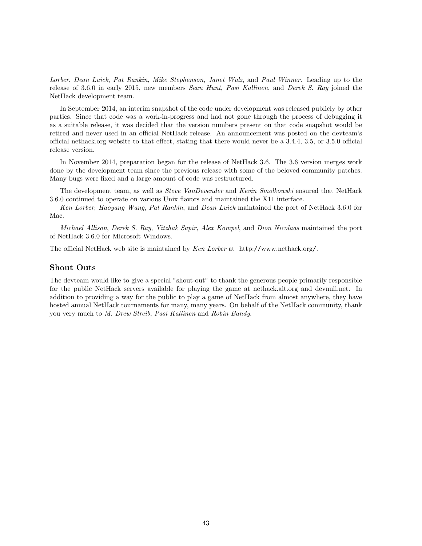Lorber, Dean Luick, Pat Rankin, Mike Stephenson, Janet Walz, and Paul Winner. Leading up to the release of 3.6.0 in early 2015, new members Sean Hunt, Pasi Kallinen, and Derek S. Ray joined the NetHack development team.

In September 2014, an interim snapshot of the code under development was released publicly by other parties. Since that code was a work-in-progress and had not gone through the process of debugging it as a suitable release, it was decided that the version numbers present on that code snapshot would be retired and never used in an official NetHack release. An announcement was posted on the devteam's official nethack.org website to that effect, stating that there would never be a 3.4.4, 3.5, or 3.5.0 official release version.

In November 2014, preparation began for the release of NetHack 3.6. The 3.6 version merges work done by the development team since the previous release with some of the beloved community patches. Many bugs were fixed and a large amount of code was restructured.

The development team, as well as Steve VanDevender and Kevin Smolkowski ensured that NetHack 3.6.0 continued to operate on various Unix flavors and maintained the X11 interface.

Ken Lorber, Haoyang Wang, Pat Rankin, and Dean Luick maintained the port of NetHack 3.6.0 for Mac.

Michael Allison, Derek S. Ray, Yitzhak Sapir, Alex Kompel, and Dion Nicolaas maintained the port of NetHack 3.6.0 for Microsoft Windows.

The official NetHack web site is maintained by Ken Lorber at http://www.nethack.org/.

#### Shout Outs

The devteam would like to give a special "shout-out" to thank the generous people primarily responsible for the public NetHack servers available for playing the game at nethack.alt.org and devnull.net. In addition to providing a way for the public to play a game of NetHack from almost anywhere, they have hosted annual NetHack tournaments for many, many years. On behalf of the NetHack community, thank you very much to M. Drew Streib, Pasi Kallinen and Robin Bandy.